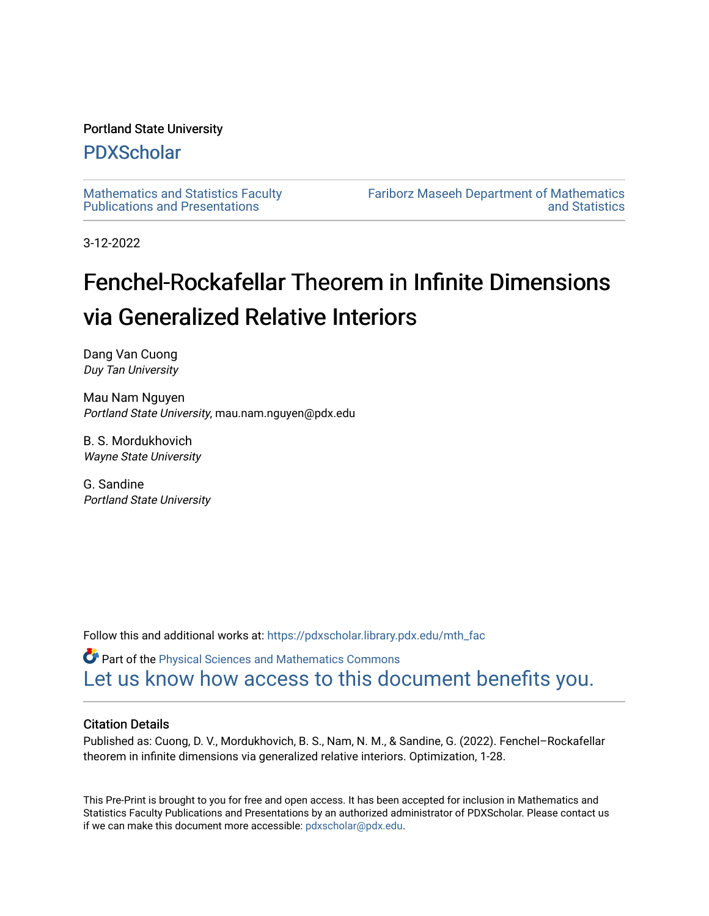#### Portland State University

### [PDXScholar](https://pdxscholar.library.pdx.edu/)

[Mathematics and Statistics Faculty](https://pdxscholar.library.pdx.edu/mth_fac)  [Publications and Presentations](https://pdxscholar.library.pdx.edu/mth_fac) 

[Fariborz Maseeh Department of Mathematics](https://pdxscholar.library.pdx.edu/mth)  [and Statistics](https://pdxscholar.library.pdx.edu/mth) 

3-12-2022

# Fenchel-Rockafellar Theorem in Infinite Dimensions via Generalized Relative Interiors

Dang Van Cuong Duy Tan University

Mau Nam Nguyen Portland State University, mau.nam.nguyen@pdx.edu

B. S. Mordukhovich Wayne State University

G. Sandine Portland State University

Follow this and additional works at: [https://pdxscholar.library.pdx.edu/mth\\_fac](https://pdxscholar.library.pdx.edu/mth_fac?utm_source=pdxscholar.library.pdx.edu%2Fmth_fac%2F345&utm_medium=PDF&utm_campaign=PDFCoverPages)

**P** Part of the Physical Sciences and Mathematics Commons [Let us know how access to this document benefits you.](http://library.pdx.edu/services/pdxscholar-services/pdxscholar-feedback/?ref=https://pdxscholar.library.pdx.edu/mth_fac/345) 

#### Citation Details

Published as: Cuong, D. V., Mordukhovich, B. S., Nam, N. M., & Sandine, G. (2022). Fenchel–Rockafellar theorem in infinite dimensions via generalized relative interiors. Optimization, 1-28.

This Pre-Print is brought to you for free and open access. It has been accepted for inclusion in Mathematics and Statistics Faculty Publications and Presentations by an authorized administrator of PDXScholar. Please contact us if we can make this document more accessible: [pdxscholar@pdx.edu.](mailto:pdxscholar@pdx.edu)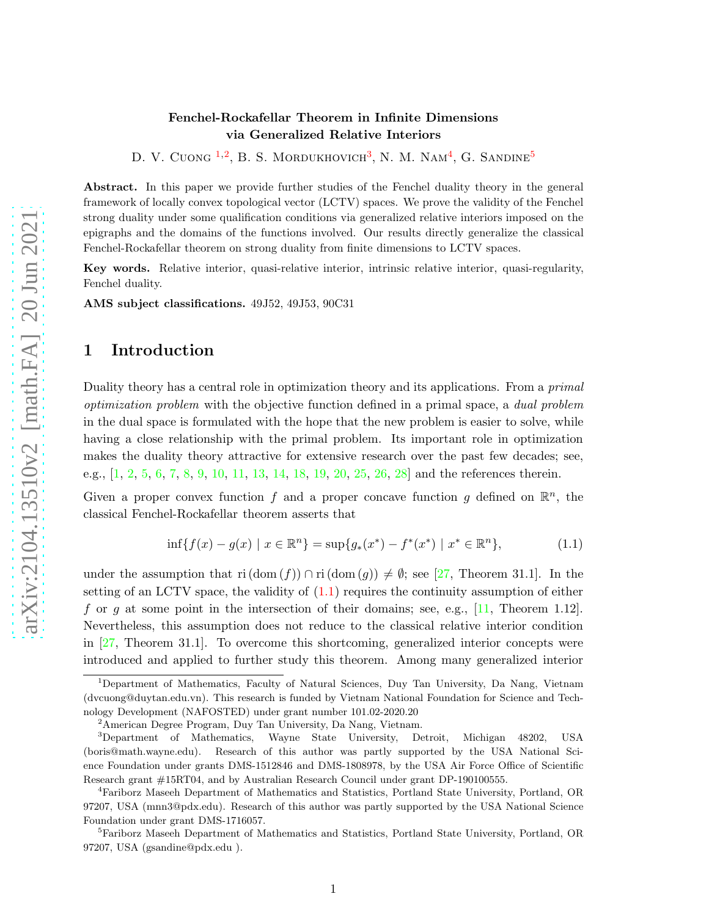#### Fenchel-Rockafellar Theorem in Infinite Dimensions via Generalized Relative Interiors

D. V. Cuong <sup>[1](#page-1-0),[2](#page-1-1)</sup>, B. S. Mordukhovich<sup>[3](#page-1-2)</sup>, N. M. Nam<sup>[4](#page-1-3)</sup>, G. Sandine<sup>[5](#page-1-4)</sup>

Abstract. In this paper we provide further studies of the Fenchel duality theory in the general framework of locally convex topological vector (LCTV) spaces. We prove the validity of the Fenchel strong duality under some qualification conditions via generalized relative interiors imposed on the epigraphs and the domains of the functions involved. Our results directly generalize the classical Fenchel-Rockafellar theorem on strong duality from finite dimensions to LCTV spaces.

Key words. Relative interior, quasi-relative interior, intrinsic relative interior, quasi-regularity, Fenchel duality.

AMS subject classifications. 49J52, 49J53, 90C31

#### 1 Introduction

Duality theory has a central role in optimization theory and its applications. From a *primal* optimization problem with the objective function defined in a primal space, a dual problem in the dual space is formulated with the hope that the new problem is easier to solve, while having a close relationship with the primal problem. Its important role in optimization makes the duality theory attractive for extensive research over the past few decades; see, e.g., [\[1,](#page-26-0) [2,](#page-26-1) [5,](#page-26-2) [6,](#page-26-3) [7,](#page-26-4) [8,](#page-26-5) [9,](#page-26-6) [10,](#page-26-7) [11,](#page-26-8) [13,](#page-26-9) [14,](#page-26-10) [18,](#page-26-11) [19,](#page-27-0) [20,](#page-27-1) [25,](#page-27-2) [26,](#page-27-3) [28\]](#page-27-4) and the references therein.

Given a proper convex function f and a proper concave function g defined on  $\mathbb{R}^n$ , the classical Fenchel-Rockafellar theorem asserts that

<span id="page-1-5"></span>
$$
\inf\{f(x) - g(x) \mid x \in \mathbb{R}^n\} = \sup\{g_*(x^*) - f^*(x^*) \mid x^* \in \mathbb{R}^n\},\tag{1.1}
$$

under the assumption that ri  $(\text{dom}(f)) \cap \text{ri}(\text{dom}(g)) \neq \emptyset$ ; see [\[27,](#page-27-5) Theorem 31.1]. In the setting of an LCTV space, the validity of  $(1.1)$  requires the continuity assumption of either f or g at some point in the intersection of their domains; see, e.g.,  $[11,$  Theorem 1.12. Nevertheless, this assumption does not reduce to the classical relative interior condition in [\[27,](#page-27-5) Theorem 31.1]. To overcome this shortcoming, generalized interior concepts were introduced and applied to further study this theorem. Among many generalized interior

<span id="page-1-0"></span><sup>1</sup>Department of Mathematics, Faculty of Natural Sciences, Duy Tan University, Da Nang, Vietnam (dvcuong@duytan.edu.vn). This research is funded by Vietnam National Foundation for Science and Technology Development (NAFOSTED) under grant number 101.02-2020.20

<span id="page-1-1"></span><sup>2</sup>American Degree Program, Duy Tan University, Da Nang, Vietnam.

<span id="page-1-2"></span><sup>3</sup>Department of Mathematics, Wayne State University, Detroit, Michigan 48202, USA (boris@math.wayne.edu). Research of this author was partly supported by the USA National Science Foundation under grants DMS-1512846 and DMS-1808978, by the USA Air Force Office of Scientific Research grant #15RT04, and by Australian Research Council under grant DP-190100555.

<span id="page-1-3"></span><sup>4</sup>Fariborz Maseeh Department of Mathematics and Statistics, Portland State University, Portland, OR 97207, USA (mnn3@pdx.edu). Research of this author was partly supported by the USA National Science Foundation under grant DMS-1716057.

<span id="page-1-4"></span><sup>5</sup>Fariborz Maseeh Department of Mathematics and Statistics, Portland State University, Portland, OR 97207, USA (gsandine@pdx.edu ).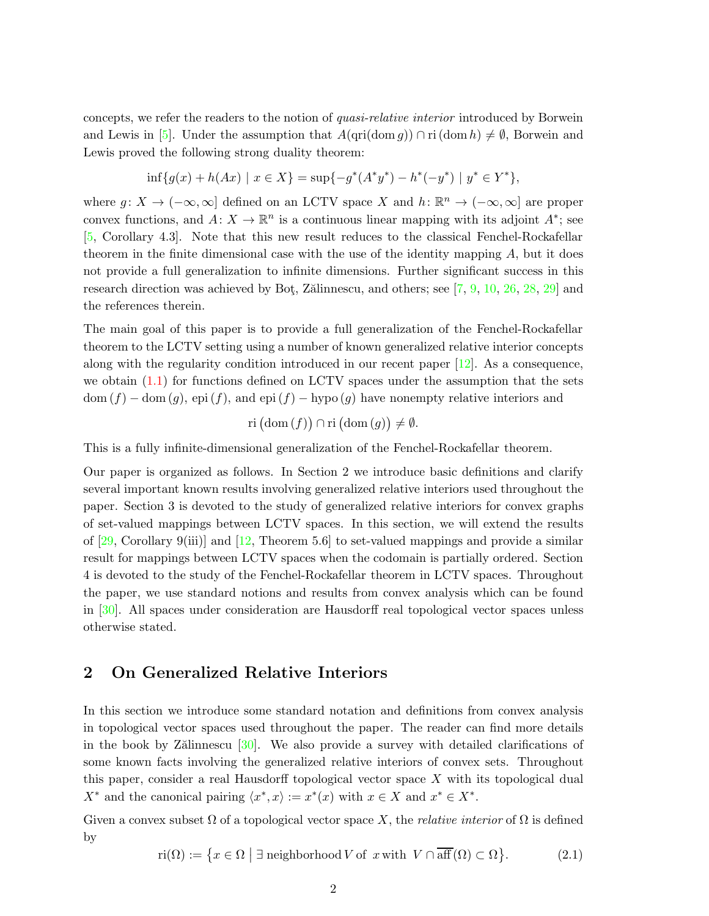concepts, we refer the readers to the notion of quasi-relative interior introduced by Borwein and Lewis in [\[5\]](#page-26-2). Under the assumption that  $A(\text{ari}(\text{dom }q)) \cap \text{ri}(\text{dom }h) \neq \emptyset$ , Borwein and Lewis proved the following strong duality theorem:

$$
\inf\{g(x) + h(Ax) \mid x \in X\} = \sup\{-g^*(A^*y^*) - h^*(-y^*) \mid y^* \in Y^*\},\
$$

where  $g: X \to (-\infty, \infty]$  defined on an LCTV space X and  $h: \mathbb{R}^n \to (-\infty, \infty]$  are proper convex functions, and  $A: X \to \mathbb{R}^n$  is a continuous linear mapping with its adjoint  $A^*$ ; see [\[5,](#page-26-2) Corollary 4.3]. Note that this new result reduces to the classical Fenchel-Rockafellar theorem in the finite dimensional case with the use of the identity mapping A, but it does not provide a full generalization to infinite dimensions. Further significant success in this research direction was achieved by Bot, Zälinnescu, and others; see  $[7, 9, 10, 26, 28, 29]$  $[7, 9, 10, 26, 28, 29]$  $[7, 9, 10, 26, 28, 29]$  $[7, 9, 10, 26, 28, 29]$  $[7, 9, 10, 26, 28, 29]$  $[7, 9, 10, 26, 28, 29]$  $[7, 9, 10, 26, 28, 29]$  $[7, 9, 10, 26, 28, 29]$  $[7, 9, 10, 26, 28, 29]$  $[7, 9, 10, 26, 28, 29]$  and the references therein.

The main goal of this paper is to provide a full generalization of the Fenchel-Rockafellar theorem to the LCTV setting using a number of known generalized relative interior concepts along with the regularity condition introduced in our recent paper  $[12]$ . As a consequence, we obtain [\(1.1\)](#page-1-5) for functions defined on LCTV spaces under the assumption that the sets  $dom(f) - dom(g)$ , epi $(f)$ , and epi  $(f) - hypo(g)$  have nonempty relative interiors and

$$
\mathrm{ri}\left(\mathrm{dom}\left(f\right)\right)\cap\mathrm{ri}\left(\mathrm{dom}\left(g\right)\right)\neq\emptyset.
$$

This is a fully infinite-dimensional generalization of the Fenchel-Rockafellar theorem.

Our paper is organized as follows. In Section 2 we introduce basic definitions and clarify several important known results involving generalized relative interiors used throughout the paper. Section 3 is devoted to the study of generalized relative interiors for convex graphs of set-valued mappings between LCTV spaces. In this section, we will extend the results of  $[29, Corollary 9(iii)]$  and  $[12, Theorem 5.6]$  to set-valued mappings and provide a similar result for mappings between LCTV spaces when the codomain is partially ordered. Section 4 is devoted to the study of the Fenchel-Rockafellar theorem in LCTV spaces. Throughout the paper, we use standard notions and results from convex analysis which can be found in [\[30\]](#page-27-7). All spaces under consideration are Hausdorff real topological vector spaces unless otherwise stated.

#### 2 On Generalized Relative Interiors

In this section we introduce some standard notation and definitions from convex analysis in topological vector spaces used throughout the paper. The reader can find more details in the book by Z $\ddot{\text{a}}$ linnescu  $\ddot{\text{a}}$ . We also provide a survey with detailed clarifications of some known facts involving the generalized relative interiors of convex sets. Throughout this paper, consider a real Hausdorff topological vector space X with its topological dual  $X^*$  and the canonical pairing  $\langle x^*, x \rangle := x^*(x)$  with  $x \in X$  and  $x^* \in X^*$ .

Given a convex subset  $\Omega$  of a topological vector space X, the *relative interior* of  $\Omega$  is defined by

<span id="page-2-0"></span>
$$
\operatorname{ri}(\Omega) := \{ x \in \Omega \mid \exists \text{ neighborhood } V \text{ of } x \text{ with } V \cap \overline{\operatorname{aff}}(\Omega) \subset \Omega \}. \tag{2.1}
$$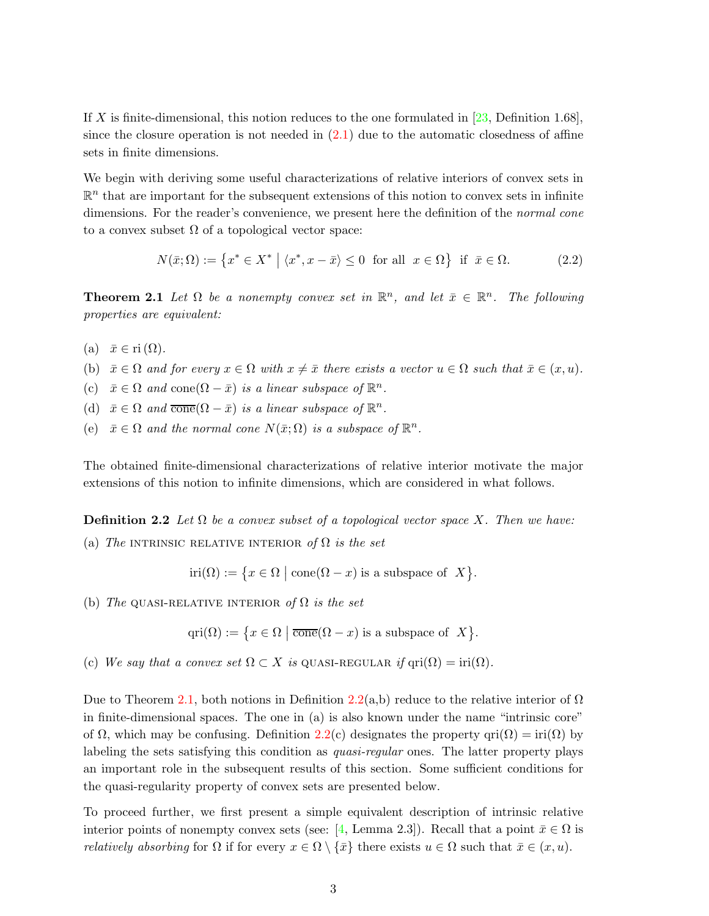If X is finite-dimensional, this notion reduces to the one formulated in  $[23,$  Definition 1.68], since the closure operation is not needed in  $(2.1)$  due to the automatic closedness of affine sets in finite dimensions.

We begin with deriving some useful characterizations of relative interiors of convex sets in  $\mathbb{R}^n$  that are important for the subsequent extensions of this notion to convex sets in infinite dimensions. For the reader's convenience, we present here the definition of the *normal cone* to a convex subset  $\Omega$  of a topological vector space:

<span id="page-3-3"></span>
$$
N(\bar{x}; \Omega) := \left\{ x^* \in X^* \mid \langle x^*, x - \bar{x} \rangle \le 0 \text{ for all } x \in \Omega \right\} \text{ if } \bar{x} \in \Omega. \tag{2.2}
$$

<span id="page-3-0"></span>**Theorem 2.1** Let  $\Omega$  be a nonempty convex set in  $\mathbb{R}^n$ , and let  $\bar{x} \in \mathbb{R}^n$ . The following properties are equivalent:

- (a)  $\bar{x} \in \text{ri}(\Omega)$ .
- (b)  $\bar{x} \in \Omega$  and for every  $x \in \Omega$  with  $x \neq \bar{x}$  there exists a vector  $u \in \Omega$  such that  $\bar{x} \in (x, u)$ .
- (c)  $\bar{x} \in \Omega$  and  $cone(\Omega \bar{x})$  is a linear subspace of  $\mathbb{R}^n$ .
- (d)  $\bar{x} \in \Omega$  and  $\overline{\text{cone}}(\Omega \bar{x})$  is a linear subspace of  $\mathbb{R}^n$ .
- (e)  $\bar{x} \in \Omega$  and the normal cone  $N(\bar{x}; \Omega)$  is a subspace of  $\mathbb{R}^n$ .

<span id="page-3-1"></span>The obtained finite-dimensional characterizations of relative interior motivate the major extensions of this notion to infinite dimensions, which are considered in what follows.

**Definition 2.2** Let  $\Omega$  be a convex subset of a topological vector space X. Then we have:

(a) The INTRINSIC RELATIVE INTERIOR of  $\Omega$  is the set

$$
iri(\Omega) := \{ x \in \Omega \mid \text{cone}(\Omega - x) \text{ is a subspace of } X \}.
$$

(b) The QUASI-RELATIVE INTERIOR of  $\Omega$  is the set

$$
qri(\Omega) := \{ x \in \Omega \mid \overline{\text{cone}}(\Omega - x) \text{ is a subspace of } X \}.
$$

(c) We say that a convex set  $\Omega \subset X$  is QUASI-REGULAR if  $\text{qri}(\Omega) = \text{iri}(\Omega)$ .

Due to Theorem [2.1,](#page-3-0) both notions in Definition [2.2\(](#page-3-1)a,b) reduce to the relative interior of  $\Omega$ in finite-dimensional spaces. The one in (a) is also known under the name "intrinsic core" of  $\Omega$ , which may be confusing. Definition [2.2\(](#page-3-1)c) designates the property qri $(\Omega) = \text{iri}(\Omega)$  by labeling the sets satisfying this condition as *quasi-regular* ones. The latter property plays an important role in the subsequent results of this section. Some sufficient conditions for the quasi-regularity property of convex sets are presented below.

<span id="page-3-2"></span>To proceed further, we first present a simple equivalent description of intrinsic relative interior points of nonempty convex sets (see: [\[4,](#page-26-13) Lemma 2.3]). Recall that a point  $\bar{x} \in \Omega$  is *relatively absorbing* for  $\Omega$  if for every  $x \in \Omega \setminus {\overline{x}}$  there exists  $u \in \Omega$  such that  $\overline{x} \in (x, u)$ .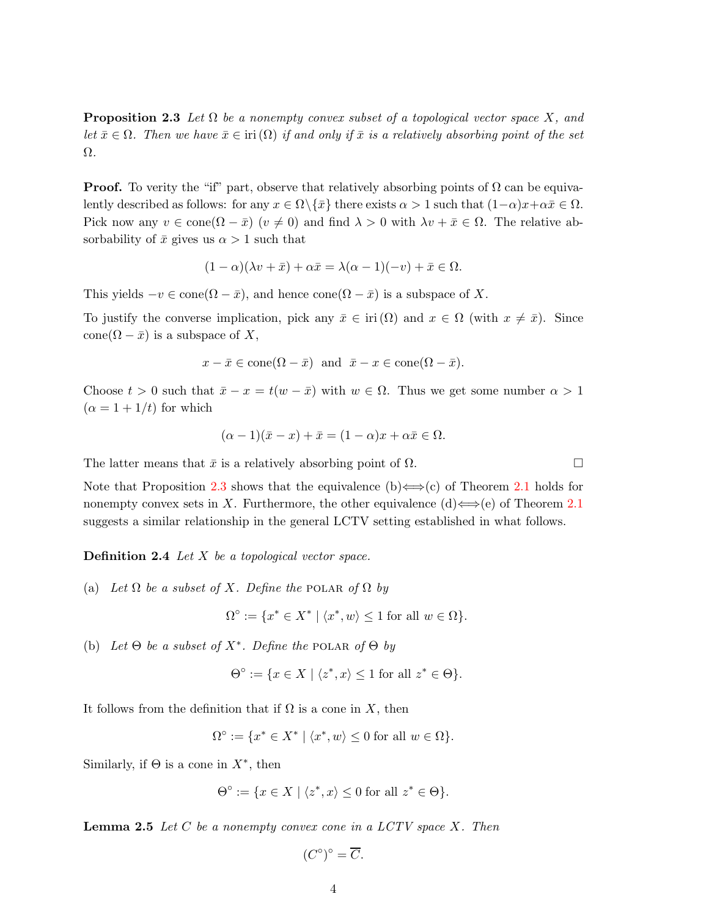**Proposition 2.3** Let  $\Omega$  be a nonempty convex subset of a topological vector space X, and let  $\bar{x} \in \Omega$ . Then we have  $\bar{x} \in \text{iri}(\Omega)$  if and only if  $\bar{x}$  is a relatively absorbing point of the set Ω.

**Proof.** To verity the "if" part, observe that relatively absorbing points of  $\Omega$  can be equivalently described as follows: for any  $x \in \Omega \backslash {\overline{x}}$  there exists  $\alpha > 1$  such that  $(1-\alpha)x + \alpha \bar{x} \in \Omega$ . Pick now any  $v \in \text{cone}(\Omega - \bar{x})$   $(v \neq 0)$  and find  $\lambda > 0$  with  $\lambda v + \bar{x} \in \Omega$ . The relative absorbability of  $\bar{x}$  gives us  $\alpha > 1$  such that

$$
(1 - \alpha)(\lambda v + \bar{x}) + \alpha \bar{x} = \lambda(\alpha - 1)(-v) + \bar{x} \in \Omega.
$$

This yields  $-v \in \text{cone}(\Omega - \bar{x})$ , and hence  $\text{cone}(\Omega - \bar{x})$  is a subspace of X.

To justify the converse implication, pick any  $\bar{x} \in \text{iri}(\Omega)$  and  $x \in \Omega$  (with  $x \neq \bar{x}$ ). Since cone( $\Omega - \bar{x}$ ) is a subspace of X,

$$
x - \bar{x} \in \text{cone}(\Omega - \bar{x})
$$
 and  $\bar{x} - x \in \text{cone}(\Omega - \bar{x}).$ 

Choose  $t > 0$  such that  $\bar{x} - x = t(w - \bar{x})$  with  $w \in \Omega$ . Thus we get some number  $\alpha > 1$  $(\alpha = 1 + 1/t)$  for which

$$
(\alpha - 1)(\bar{x} - x) + \bar{x} = (1 - \alpha)x + \alpha \bar{x} \in \Omega.
$$

The latter means that  $\bar{x}$  is a relatively absorbing point of  $\Omega$ .

Note that Proposition [2.3](#page-3-2) shows that the equivalence (b)  $\Longleftrightarrow$  (c) of Theorem [2.1](#page-3-0) holds for nonempty convex sets in X. Furthermore, the other equivalence (d)  $\Longleftrightarrow$  (e) of Theorem [2.1](#page-3-0) suggests a similar relationship in the general LCTV setting established in what follows.

**Definition 2.4** Let  $X$  be a topological vector space.

(a) Let  $\Omega$  be a subset of X. Define the POLAR of  $\Omega$  by

$$
\Omega^{\circ} := \{ x^* \in X^* \mid \langle x^*, w \rangle \le 1 \text{ for all } w \in \Omega \}.
$$

(b) Let  $\Theta$  be a subset of  $X^*$ . Define the POLAR of  $\Theta$  by

$$
\Theta^{\circ} := \{ x \in X \mid \langle z^*, x \rangle \le 1 \text{ for all } z^* \in \Theta \}.
$$

It follows from the definition that if  $\Omega$  is a cone in X, then

$$
\Omega^{\circ} := \{ x^* \in X^* \mid \langle x^*, w \rangle \le 0 \text{ for all } w \in \Omega \}.
$$

Similarly, if  $\Theta$  is a cone in  $X^*$ , then

$$
\Theta^\circ:=\{x\in X\mid \langle z^*,x\rangle\leq 0\;\text{for all}\; z^*\in\Theta\}.
$$

<span id="page-4-0"></span>**Lemma 2.5** Let  $C$  be a nonempty convex cone in a LCTV space  $X$ . Then

$$
(C^{\circ})^{\circ} = \overline{C}.
$$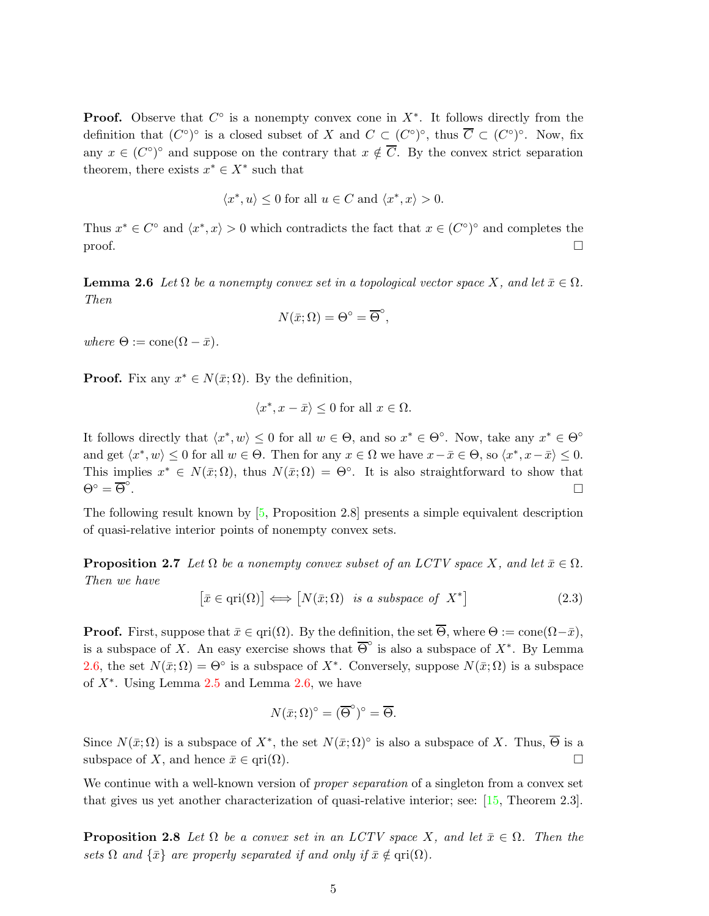**Proof.** Observe that  $C^{\circ}$  is a nonempty convex cone in  $X^*$ . It follows directly from the definition that  $(C^{\circ})^{\circ}$  is a closed subset of X and  $C \subset (C^{\circ})^{\circ}$ , thus  $\overline{C} \subset (C^{\circ})^{\circ}$ . Now, fix any  $x \in (C^{\circ})^{\circ}$  and suppose on the contrary that  $x \notin \overline{C}$ . By the convex strict separation theorem, there exists  $x^* \in X^*$  such that

$$
\langle x^*, u \rangle \le 0 \text{ for all } u \in C \text{ and } \langle x^*, x \rangle > 0.
$$

<span id="page-5-0"></span>Thus  $x^* \in C^{\circ}$  and  $\langle x^*, x \rangle > 0$  which contradicts the fact that  $x \in (C^{\circ})^{\circ}$  and completes the  $\Box$ 

**Lemma 2.6** Let  $\Omega$  be a nonempty convex set in a topological vector space X, and let  $\bar{x} \in \Omega$ . Then

$$
N(\bar{x};\Omega) = \Theta^{\circ} = \overline{\Theta}^{\circ},
$$

where  $\Theta := \text{cone}(\Omega - \bar{x}).$ 

**Proof.** Fix any  $x^* \in N(\bar{x}; \Omega)$ . By the definition,

<span id="page-5-2"></span>
$$
\langle x^*, x - \bar{x} \rangle \le 0 \text{ for all } x \in \Omega.
$$

It follows directly that  $\langle x^*, w \rangle \leq 0$  for all  $w \in \Theta$ , and so  $x^* \in \Theta^{\circ}$ . Now, take any  $x^* \in \Theta^{\circ}$ and get  $\langle x^*, w \rangle \leq 0$  for all  $w \in \Theta$ . Then for any  $x \in \Omega$  we have  $x - \bar{x} \in \Theta$ , so  $\langle x^*, x - \bar{x} \rangle \leq 0$ . This implies  $x^* \in N(\bar{x}; \Omega)$ , thus  $N(\bar{x}; \Omega) = \Theta^{\circ}$ . It is also straightforward to show that  $\Theta^{\circ} = \overline{\Theta}^{\circ}$ .

The following result known by [\[5,](#page-26-2) Proposition 2.8] presents a simple equivalent description of quasi-relative interior points of nonempty convex sets.

**Proposition 2.7** Let  $\Omega$  be a nonempty convex subset of an LCTV space X, and let  $\bar{x} \in \Omega$ . Then we have

<span id="page-5-1"></span>
$$
\[\bar{x} \in \text{qri}(\Omega)\] \Longleftrightarrow \[\bar{N}(\bar{x}; \Omega) \text{ is a subspace of } X^*\]\tag{2.3}
$$

**Proof.** First, suppose that  $\bar{x} \in \text{qri}(\Omega)$ . By the definition, the set  $\overline{\Theta}$ , where  $\Theta := \text{cone}(\Omega - \bar{x})$ , is a subspace of X. An easy exercise shows that  $\overline{\Theta}^{\circ}$  is also a subspace of  $X^*$ . By Lemma [2.6,](#page-5-0) the set  $N(\bar{x}; \Omega) = \Theta^{\circ}$  is a subspace of  $X^*$ . Conversely, suppose  $N(\bar{x}; \Omega)$  is a subspace of  $X^*$ . Using Lemma [2.5](#page-4-0) and Lemma [2.6,](#page-5-0) we have

$$
N(\bar{x};\Omega)^\circ = (\overline{\Theta}^\circ)^\circ = \overline{\Theta}.
$$

Since  $N(\bar{x}; \Omega)$  is a subspace of  $X^*$ , the set  $N(\bar{x}; \Omega)^\circ$  is also a subspace of X. Thus,  $\overline{\Theta}$  is a subspace of X, and hence  $\bar{x} \in \text{ari}(\Omega)$ .

<span id="page-5-3"></span>We continue with a well-known version of *proper separation* of a singleton from a convex set that gives us yet another characterization of quasi-relative interior; see: [\[15,](#page-26-14) Theorem 2.3].

**Proposition 2.8** Let  $\Omega$  be a convex set in an LCTV space X, and let  $\bar{x} \in \Omega$ . Then the sets  $\Omega$  and  $\{\bar{x}\}\$ are properly separated if and only if  $\bar{x} \notin \text{ari}(\Omega)$ .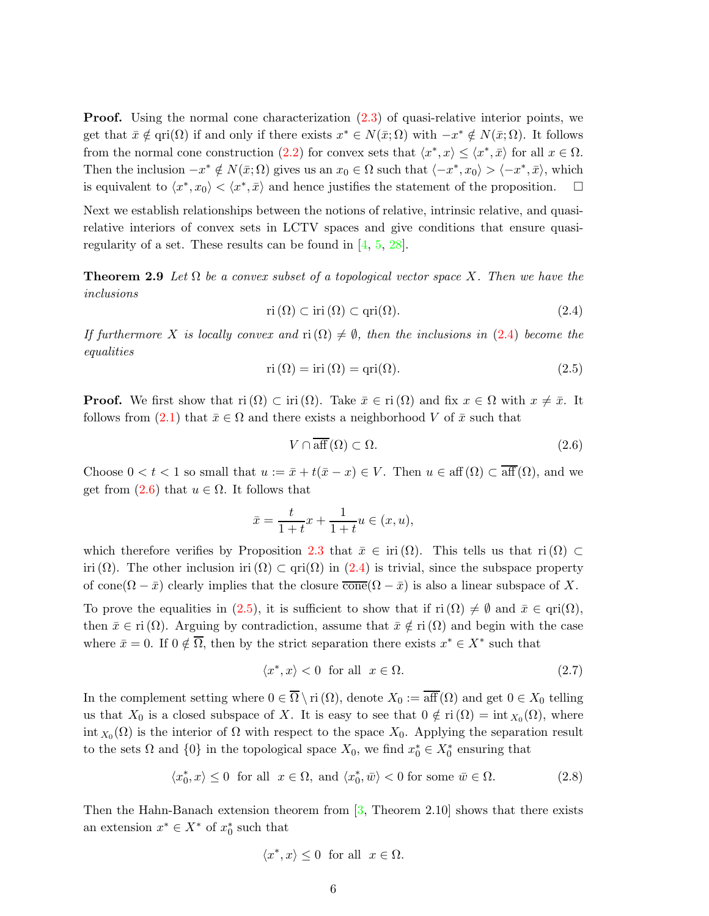**Proof.** Using the normal cone characterization  $(2.3)$  of quasi-relative interior points, we get that  $\bar{x} \notin \text{qri}(\Omega)$  if and only if there exists  $x^* \in N(\bar{x}; \Omega)$  with  $-x^* \notin N(\bar{x}; \Omega)$ . It follows from the normal cone construction [\(2.2\)](#page-3-3) for convex sets that  $\langle x^*, x \rangle \le \langle x^*, \bar{x} \rangle$  for all  $x \in \Omega$ . Then the inclusion  $-x^* \notin N(\bar{x}; \Omega)$  gives us an  $x_0 \in \Omega$  such that  $\langle -x^*, x_0 \rangle > \langle -x^*, \bar{x} \rangle$ , which is equivalent to  $\langle x^*, x_0 \rangle < \langle x^*, \bar{x} \rangle$  and hence justifies the statement of the proposition.  $\Box$ 

Next we establish relationships between the notions of relative, intrinsic relative, and quasirelative interiors of convex sets in LCTV spaces and give conditions that ensure quasiregularity of a set. These results can be found in [\[4,](#page-26-13) [5,](#page-26-2) [28\]](#page-27-4).

**Theorem 2.9** Let  $\Omega$  be a convex subset of a topological vector space X. Then we have the inclusions

<span id="page-6-5"></span><span id="page-6-0"></span>
$$
\operatorname{ri}(\Omega) \subset \operatorname{iri}(\Omega) \subset \operatorname{qri}(\Omega). \tag{2.4}
$$

If furthermore X is locally convex and  $\text{ri}(\Omega) \neq \emptyset$ , then the inclusions in [\(2.4\)](#page-6-0) become the equalities

<span id="page-6-2"></span>
$$
ri(\Omega) = iri(\Omega) = qri(\Omega).
$$
\n(2.5)

**Proof.** We first show that  $\text{ri }(\Omega) \subset \text{iri }(\Omega)$ . Take  $\bar{x} \in \text{ri }(\Omega)$  and fix  $x \in \Omega$  with  $x \neq \bar{x}$ . It follows from [\(2.1\)](#page-2-0) that  $\bar{x} \in \Omega$  and there exists a neighborhood V of  $\bar{x}$  such that

<span id="page-6-1"></span>
$$
V \cap \overline{\text{aff}}(\Omega) \subset \Omega. \tag{2.6}
$$

Choose  $0 < t < 1$  so small that  $u := \bar{x} + t(\bar{x} - x) \in V$ . Then  $u \in \text{aff}(\Omega) \subset \overline{\text{aff}}(\Omega)$ , and we get from  $(2.6)$  that  $u \in \Omega$ . It follows that

$$
\bar{x} = \frac{t}{1+t}x + \frac{1}{1+t}u \in (x, u),
$$

which therefore verifies by Proposition [2.3](#page-3-2) that  $\bar{x} \in \text{iri}(\Omega)$ . This tells us that ri $(\Omega) \subset$ iri  $(\Omega)$ . The other inclusion iri  $(\Omega) \subset \text{qri}(\Omega)$  in [\(2.4\)](#page-6-0) is trivial, since the subspace property of cone $(\Omega - \bar{x})$  clearly implies that the closure  $\overline{\text{cone}}(\Omega - \bar{x})$  is also a linear subspace of X.

To prove the equalities in [\(2.5\)](#page-6-2), it is sufficient to show that if  $\text{ri }(\Omega) \neq \emptyset$  and  $\bar{x} \in \text{qri}(\Omega)$ , then  $\bar{x} \in \text{ri } (\Omega)$ . Arguing by contradiction, assume that  $\bar{x} \notin \text{ri } (\Omega)$  and begin with the case where  $\bar{x} = 0$ . If  $0 \notin \overline{\Omega}$ , then by the strict separation there exists  $x^* \in X^*$  such that

<span id="page-6-4"></span>
$$
\langle x^*, x \rangle < 0 \quad \text{for all} \quad x \in \Omega. \tag{2.7}
$$

In the complement setting where  $0 \in \overline{\Omega} \setminus \text{ri}(\Omega)$ , denote  $X_0 := \overline{\text{aff}}(\Omega)$  and get  $0 \in X_0$  telling us that  $X_0$  is a closed subspace of X. It is easy to see that  $0 \notin \text{ri}(\Omega) = \text{int } X_0(\Omega)$ , where int  $X_0(\Omega)$  is the interior of  $\Omega$  with respect to the space  $X_0$ . Applying the separation result to the sets  $\Omega$  and  $\{0\}$  in the topological space  $X_0$ , we find  $x_0^* \in X_0^*$  ensuring that

<span id="page-6-3"></span>
$$
\langle x_0^*, x \rangle \le 0 \text{ for all } x \in \Omega, \text{ and } \langle x_0^*, \bar{w} \rangle < 0 \text{ for some } \bar{w} \in \Omega.
$$
 (2.8)

Then the Hahn-Banach extension theorem from  $\boxed{3}$ , Theorem 2.10 shows that there exists an extension  $x^* \in X^*$  of  $x_0^*$  such that

$$
\langle x^*,x\rangle\leq 0\ \ \text{for all}\ \ x\in\Omega.
$$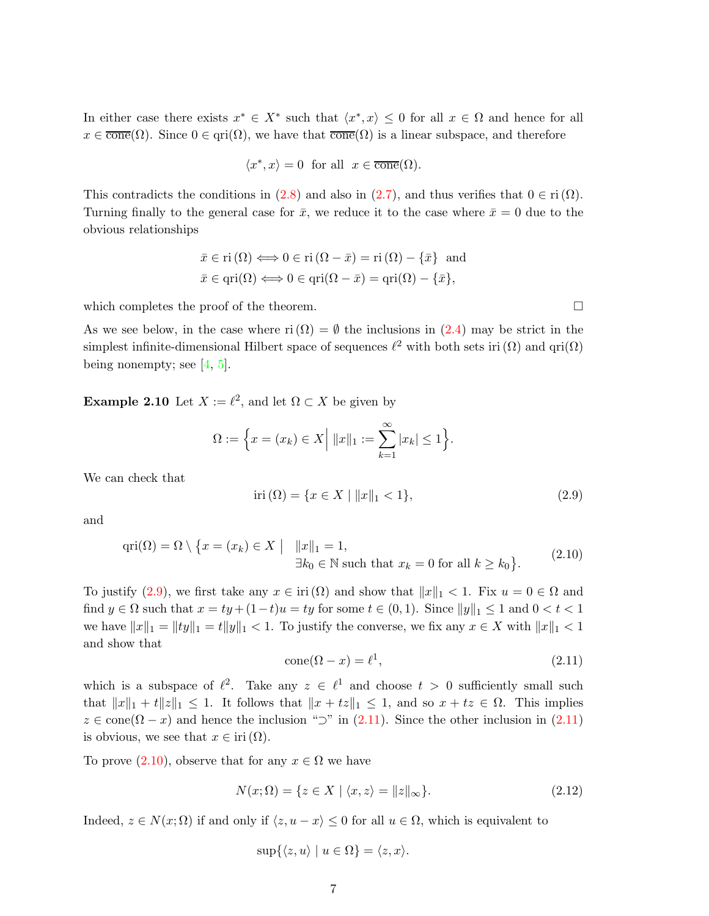In either case there exists  $x^* \in X^*$  such that  $\langle x^*, x \rangle \leq 0$  for all  $x \in \Omega$  and hence for all  $x \in \overline{\text{cone}}(\Omega)$ . Since  $0 \in \text{qri}(\Omega)$ , we have that  $\overline{\text{cone}}(\Omega)$  is a linear subspace, and therefore

$$
\langle x^*, x \rangle = 0 \text{ for all } x \in \overline{\text{cone}}(\Omega).
$$

This contradicts the conditions in [\(2.8\)](#page-6-3) and also in [\(2.7\)](#page-6-4), and thus verifies that  $0 \in \text{ri }(\Omega)$ . Turning finally to the general case for  $\bar{x}$ , we reduce it to the case where  $\bar{x} = 0$  due to the obvious relationships

$$
\bar{x} \in \text{ri}(\Omega) \Longleftrightarrow 0 \in \text{ri}(\Omega - \bar{x}) = \text{ri}(\Omega) - \{\bar{x}\} \text{ and}
$$

$$
\bar{x} \in \text{qri}(\Omega) \Longleftrightarrow 0 \in \text{qri}(\Omega - \bar{x}) = \text{qri}(\Omega) - \{\bar{x}\},
$$

which completes the proof of the theorem.  $\Box$ 

<span id="page-7-4"></span>As we see below, in the case where ri  $(\Omega) = \emptyset$  the inclusions in [\(2.4\)](#page-6-0) may be strict in the simplest infinite-dimensional Hilbert space of sequences  $\ell^2$  with both sets iri  $(\Omega)$  and  $\text{qri}(\Omega)$ being nonempty; see  $[4, 5]$  $[4, 5]$ .

**Example 2.10** Let  $X := \ell^2$ , and let  $\Omega \subset X$  be given by

$$
\Omega := \left\{ x = (x_k) \in X \Big| \; \|x\|_1 := \sum_{k=1}^{\infty} |x_k| \le 1 \right\}.
$$

We can check that

<span id="page-7-0"></span>
$$
iri(\Omega) = \{x \in X \mid ||x||_1 < 1\},\tag{2.9}
$$

and

<span id="page-7-2"></span>
$$
\operatorname{qri}(\Omega) = \Omega \setminus \{x = (x_k) \in X \mid \|x\|_1 = 1, \exists k_0 \in \mathbb{N} \text{ such that } x_k = 0 \text{ for all } k \ge k_0 \}. \tag{2.10}
$$

To justify [\(2.9\)](#page-7-0), we first take any  $x \in \text{iri}(\Omega)$  and show that  $||x||_1 < 1$ . Fix  $u = 0 \in \Omega$  and find  $y \in \Omega$  such that  $x = ty + (1-t)u = ty$  for some  $t \in (0,1)$ . Since  $||y||_1 \leq 1$  and  $0 < t < 1$ we have  $||x||_1 = ||ty||_1 = t||y||_1 < 1$ . To justify the converse, we fix any  $x \in X$  with  $||x||_1 < 1$ and show that

<span id="page-7-1"></span>
$$
cone(\Omega - x) = \ell^1,\tag{2.11}
$$

which is a subspace of  $\ell^2$ . Take any  $z \in \ell^1$  and choose  $t > 0$  sufficiently small such that  $||x||_1 + t||z||_1 \leq 1$ . It follows that  $||x + tz||_1 \leq 1$ , and so  $x + tz \in \Omega$ . This implies  $z \in \text{cone}(\Omega - x)$  and hence the inclusion " $\supset$ " in [\(2.11\)](#page-7-1). Since the other inclusion in (2.11) is obvious, we see that  $x \in \text{iri}(\Omega)$ .

To prove  $(2.10)$ , observe that for any  $x \in \Omega$  we have

<span id="page-7-3"></span>
$$
N(x; \Omega) = \{ z \in X \mid \langle x, z \rangle = ||z||_{\infty} \}. \tag{2.12}
$$

Indeed,  $z \in N(x; \Omega)$  if and only if  $\langle z, u - x \rangle \leq 0$  for all  $u \in \Omega$ , which is equivalent to

$$
\sup\{\langle z,u\rangle \mid u\in\Omega\}=\langle z,x\rangle.
$$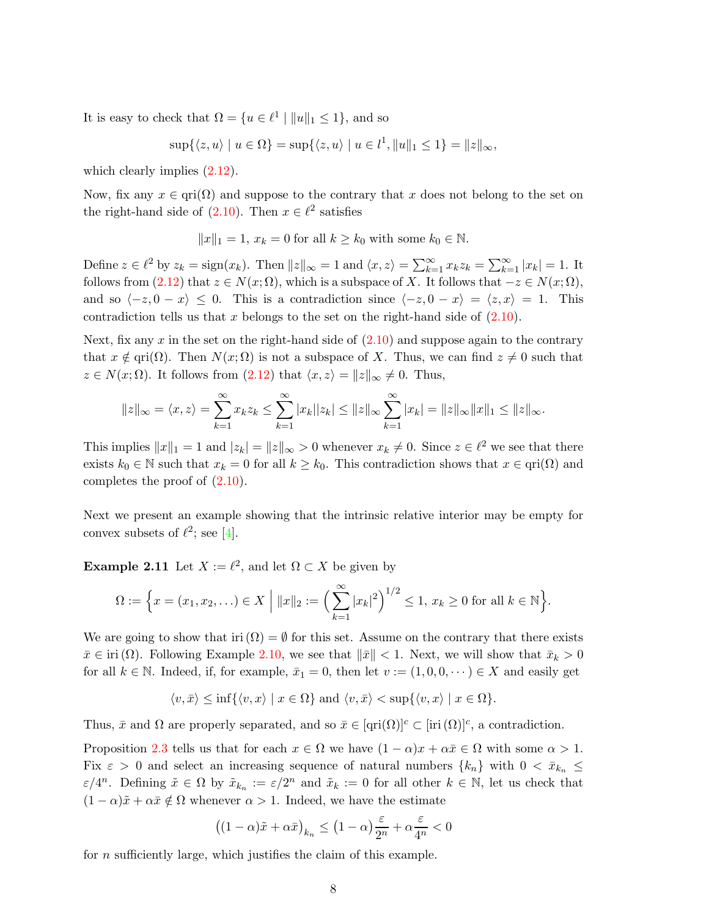It is easy to check that  $\Omega = \{u \in \ell^1 \mid ||u||_1 \leq 1\}$ , and so

$$
\sup\{\langle z,u\rangle \mid u \in \Omega\} = \sup\{\langle z,u\rangle \mid u \in l^1, \|u\|_1 \le 1\} = \|z\|_{\infty},
$$

which clearly implies  $(2.12)$ .

Now, fix any  $x \in \text{qri}(\Omega)$  and suppose to the contrary that x does not belong to the set on the right-hand side of  $(2.10)$ . Then  $x \in \ell^2$  satisfies

$$
||x||_1 = 1, x_k = 0
$$
 for all  $k \ge k_0$  with some  $k_0 \in \mathbb{N}$ .

Define  $z \in \ell^2$  by  $z_k = \text{sign}(x_k)$ . Then  $||z||_{\infty} = 1$  and  $\langle x, z \rangle = \sum_{k=1}^{\infty} x_k z_k = \sum_{k=1}^{\infty} |x_k| = 1$ . It follows from  $(2.12)$  that  $z \in N(x; \Omega)$ , which is a subspace of X. It follows that  $-z \in N(x; \Omega)$ , and so  $\langle -z, 0 - x \rangle \le 0$ . This is a contradiction since  $\langle -z, 0 - x \rangle = \langle z, x \rangle = 1$ . This contradiction tells us that  $x$  belongs to the set on the right-hand side of  $(2.10)$ .

Next, fix any x in the set on the right-hand side of  $(2.10)$  and suppose again to the contrary that  $x \notin \text{qri}(\Omega)$ . Then  $N(x; \Omega)$  is not a subspace of X. Thus, we can find  $z \neq 0$  such that  $z \in N(x; \Omega)$ . It follows from  $(2.12)$  that  $\langle x, z \rangle = ||z||_{\infty} \neq 0$ . Thus,

$$
||z||_{\infty} = \langle x, z \rangle = \sum_{k=1}^{\infty} x_k z_k \le \sum_{k=1}^{\infty} |x_k||z_k| \le ||z||_{\infty} \sum_{k=1}^{\infty} |x_k| = ||z||_{\infty} ||x||_1 \le ||z||_{\infty}.
$$

This implies  $||x||_1 = 1$  and  $|z_k| = ||z||_{\infty} > 0$  whenever  $x_k \neq 0$ . Since  $z \in \ell^2$  we see that there exists  $k_0 \in \mathbb{N}$  such that  $x_k = 0$  for all  $k \geq k_0$ . This contradiction shows that  $x \in \text{pri}(\Omega)$  and completes the proof of [\(2.10\)](#page-7-2).

Next we present an example showing that the intrinsic relative interior may be empty for convex subsets of  $\ell^2$ ; see [\[4\]](#page-26-13).

**Example 2.11** Let  $X := \ell^2$ , and let  $\Omega \subset X$  be given by

$$
\Omega := \Big\{ x = (x_1, x_2, \ldots) \in X \; \Big| \; \|x\|_2 := \Big( \sum_{k=1}^{\infty} |x_k|^2 \Big)^{1/2} \leq 1, \, x_k \geq 0 \; \text{for all} \; k \in \mathbb{N} \Big\}.
$$

We are going to show that iri  $(\Omega) = \emptyset$  for this set. Assume on the contrary that there exists  $\bar{x} \in \text{iri}(\Omega)$ . Following Example [2.10,](#page-7-4) we see that  $\|\bar{x}\| < 1$ . Next, we will show that  $\bar{x}_k > 0$ for all  $k \in \mathbb{N}$ . Indeed, if, for example,  $\bar{x}_1 = 0$ , then let  $v := (1, 0, 0, \dots) \in X$  and easily get

$$
\langle v, \bar{x} \rangle \le \inf\{\langle v, x \rangle \mid x \in \Omega\}\
$$
and  $\langle v, \bar{x} \rangle < \sup\{\langle v, x \rangle \mid x \in \Omega\}.$ 

Thus,  $\bar{x}$  and  $\Omega$  are properly separated, and so  $\bar{x} \in [\text{qri}(\Omega)]^c \subset [\text{iri}(\Omega)]^c$ , a contradiction.

Proposition [2.3](#page-3-2) tells us that for each  $x \in \Omega$  we have  $(1 - \alpha)x + \alpha \bar{x} \in \Omega$  with some  $\alpha > 1$ . Fix  $\varepsilon > 0$  and select an increasing sequence of natural numbers  $\{k_n\}$  with  $0 < \bar{x}_{k_n} \leq$  $\varepsilon/4^n$ . Defining  $\tilde{x} \in \Omega$  by  $\tilde{x}_{k_n} := \varepsilon/2^n$  and  $\tilde{x}_k := 0$  for all other  $k \in \mathbb{N}$ , let us check that  $(1 - \alpha)\tilde{x} + \alpha \bar{x} \notin \Omega$  whenever  $\alpha > 1$ . Indeed, we have the estimate

$$
\left((1-\alpha)\tilde{x} + \alpha \bar{x}\right)_{k_n} \le \left(1-\alpha\right)\frac{\varepsilon}{2^n} + \alpha \frac{\varepsilon}{4^n} < 0
$$

for n sufficiently large, which justifies the claim of this example.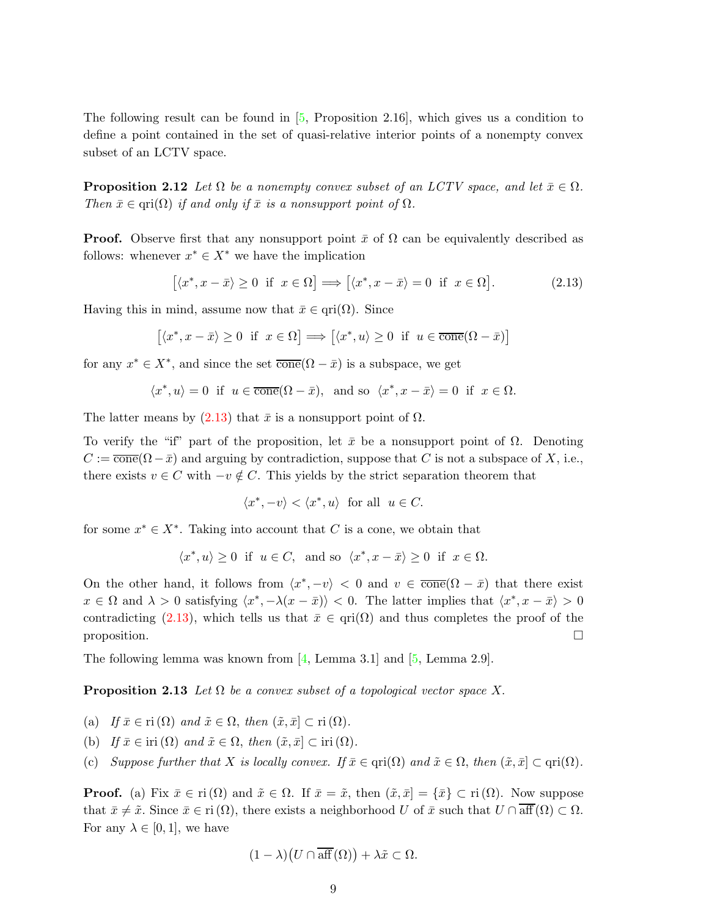The following result can be found in [\[5,](#page-26-2) Proposition 2.16], which gives us a condition to define a point contained in the set of quasi-relative interior points of a nonempty convex subset of an LCTV space.

**Proposition 2.12** Let  $\Omega$  be a nonempty convex subset of an LCTV space, and let  $\bar{x} \in \Omega$ . Then  $\bar{x} \in \text{qri}(\Omega)$  if and only if  $\bar{x}$  is a nonsupport point of  $\Omega$ .

**Proof.** Observe first that any nonsupport point  $\bar{x}$  of  $\Omega$  can be equivalently described as follows: whenever  $x^* \in X^*$  we have the implication

<span id="page-9-0"></span>
$$
[\langle x^*, x - \bar{x} \rangle \ge 0 \text{ if } x \in \Omega] \Longrightarrow [\langle x^*, x - \bar{x} \rangle = 0 \text{ if } x \in \Omega]. \tag{2.13}
$$

Having this in mind, assume now that  $\bar{x} \in \text{qri}(\Omega)$ . Since

$$
[\langle x^*, x - \bar{x} \rangle \ge 0 \text{ if } x \in \Omega] \Longrightarrow [\langle x^*, u \rangle \ge 0 \text{ if } u \in \overline{\text{cone}}(\Omega - \bar{x})]
$$

for any  $x^* \in X^*$ , and since the set  $\overline{\text{cone}}(\Omega - \bar{x})$  is a subspace, we get

$$
\langle x^*, u \rangle = 0 \text{ if } u \in \overline{\text{cone}}(\Omega - \bar{x}), \text{ and so } \langle x^*, x - \bar{x} \rangle = 0 \text{ if } x \in \Omega.
$$

The latter means by  $(2.13)$  that  $\bar{x}$  is a nonsupport point of  $\Omega$ .

To verify the "if" part of the proposition, let  $\bar{x}$  be a nonsupport point of  $\Omega$ . Denoting  $C := \overline{\text{cone}}(\Omega - \bar{x})$  and arguing by contradiction, suppose that C is not a subspace of X, i.e., there exists  $v \in C$  with  $-v \notin C$ . This yields by the strict separation theorem that

<span id="page-9-1"></span>
$$
\langle x^*, -v \rangle < \langle x^*, u \rangle \text{ for all } u \in C.
$$

for some  $x^* \in X^*$ . Taking into account that C is a cone, we obtain that

$$
\langle x^*, u \rangle \geq 0 \ \ \text{if} \ \ u \in C, \ \ \text{and so} \ \ \langle x^*, x-\bar{x} \rangle \geq 0 \ \ \text{if} \ \ x \in \Omega.
$$

On the other hand, it follows from  $\langle x^*, -v \rangle < 0$  and  $v \in \overline{\text{cone}}(\Omega - \bar{x})$  that there exist  $x \in \Omega$  and  $\lambda > 0$  satisfying  $\langle x^*, -\lambda(x - \bar{x}) \rangle < 0$ . The latter implies that  $\langle x^*, x - \bar{x} \rangle > 0$ contradicting [\(2.13\)](#page-9-0), which tells us that  $\bar{x} \in \text{qri}(\Omega)$  and thus completes the proof of the proposition.  $\Box$ 

The following lemma was known from  $[4, \text{Lemma } 3.1]$  and  $[5, \text{Lemma } 2.9]$ .

**Proposition 2.13** Let  $\Omega$  be a convex subset of a topological vector space X.

- (a) If  $\bar{x} \in \text{ri}(\Omega)$  and  $\tilde{x} \in \Omega$ , then  $(\tilde{x}, \bar{x}] \subset \text{ri}(\Omega)$ .
- (b) If  $\bar{x} \in \text{iri}(\Omega)$  and  $\tilde{x} \in \Omega$ , then  $(\tilde{x}, \bar{x}] \subset \text{iri}(\Omega)$ .
- (c) Suppose further that X is locally convex. If  $\bar{x} \in \text{qri}(\Omega)$  and  $\tilde{x} \in \Omega$ , then  $(\tilde{x}, \bar{x}] \subset \text{qri}(\Omega)$ .

**Proof.** (a) Fix  $\bar{x} \in \text{ri}(\Omega)$  and  $\tilde{x} \in \Omega$ . If  $\bar{x} = \tilde{x}$ , then  $(\tilde{x}, \bar{x}] = {\bar{x}} \subset \text{ri}(\Omega)$ . Now suppose that  $\bar{x} \neq \tilde{x}$ . Since  $\bar{x} \in \text{ri}(\Omega)$ , there exists a neighborhood U of  $\bar{x}$  such that  $U \cap \overline{\text{aff}}(\Omega) \subset \Omega$ . For any  $\lambda \in [0,1]$ , we have

$$
(1 - \lambda)(U \cap \overline{\text{aff}}(\Omega)) + \lambda \tilde{x} \subset \Omega.
$$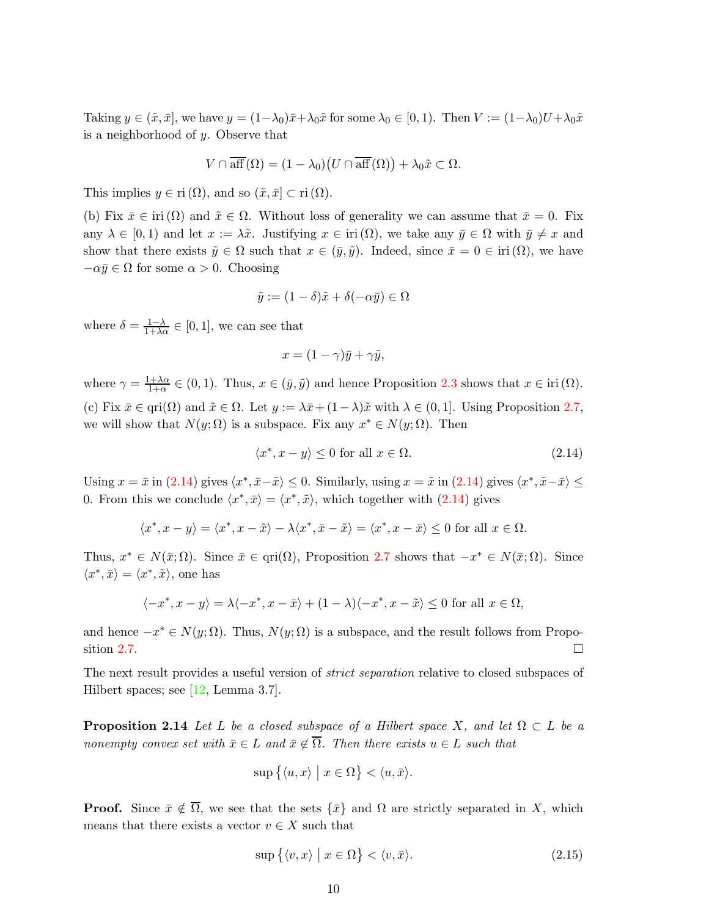Taking  $y \in (\tilde{x}, \bar{x}]$ , we have  $y = (1 - \lambda_0)\bar{x} + \lambda_0\tilde{x}$  for some  $\lambda_0 \in [0, 1)$ . Then  $V := (1 - \lambda_0)U + \lambda_0\tilde{x}$ is a neighborhood of  $y$ . Observe that

$$
V \cap \overline{\text{aff}}(\Omega) = (1 - \lambda_0) (U \cap \overline{\text{aff}}(\Omega)) + \lambda_0 \tilde{x} \subset \Omega.
$$

This implies  $y \in \text{ri } (\Omega)$ , and so  $(\tilde{x}, \bar{x}] \subset \text{ri } (\Omega)$ .

(b) Fix  $\bar{x} \in \text{iri}(\Omega)$  and  $\tilde{x} \in \Omega$ . Without loss of generality we can assume that  $\bar{x} = 0$ . Fix any  $\lambda \in [0,1)$  and let  $x := \lambda \tilde{x}$ . Justifying  $x \in \text{iri}(\Omega)$ , we take any  $\bar{y} \in \Omega$  with  $\bar{y} \neq x$  and show that there exists  $\tilde{y} \in \Omega$  such that  $x \in (\bar{y}, \tilde{y})$ . Indeed, since  $\bar{x} = 0 \in \text{iri}(\Omega)$ , we have  $-\alpha \bar{y} \in \Omega$  for some  $\alpha > 0$ . Choosing

$$
\tilde{y} := (1 - \delta)\tilde{x} + \delta(-\alpha \bar{y}) \in \Omega
$$

where  $\delta = \frac{1-\lambda}{1+\lambda \alpha} \in [0,1]$ , we can see that

$$
x = (1 - \gamma)\bar{y} + \gamma \tilde{y},
$$

where  $\gamma = \frac{1+\lambda\alpha}{1+\alpha}$  $\frac{1+\lambda\alpha}{1+\alpha} \in (0,1)$ . Thus,  $x \in (\bar{y}, \tilde{y})$  and hence Proposition [2.3](#page-3-2) shows that  $x \in \text{iri}(\Omega)$ . (c) Fix  $\bar{x} \in \text{qri}(\Omega)$  and  $\tilde{x} \in \Omega$ . Let  $y := \lambda \bar{x} + (1 - \lambda)\tilde{x}$  with  $\lambda \in (0, 1]$ . Using Proposition [2.7,](#page-5-2) we will show that  $N(y; \Omega)$  is a subspace. Fix any  $x^* \in N(y; \Omega)$ . Then

<span id="page-10-0"></span>
$$
\langle x^*, x - y \rangle \le 0 \text{ for all } x \in \Omega. \tag{2.14}
$$

Using  $x = \bar{x}$  in  $(2.14)$  gives  $\langle x^*, \bar{x} - \tilde{x} \rangle \le 0$ . Similarly, using  $x = \tilde{x}$  in  $(2.14)$  gives  $\langle x^*, \tilde{x} - \bar{x} \rangle \le 0$ 0. From this we conclude  $\langle x^*, \bar{x} \rangle = \langle x^*, \tilde{x} \rangle$ , which together with [\(2.14\)](#page-10-0) gives

$$
\langle x^*,x-y\rangle=\langle x^*,x-\tilde x\rangle-\lambda\langle x^*,\bar x-\tilde x\rangle=\langle x^*,x-\bar x\rangle\leq 0\text{ for all }x\in\Omega.
$$

Thus,  $x^* \in N(\bar{x}; \Omega)$ . Since  $\bar{x} \in \text{qri}(\Omega)$ , Proposition [2.7](#page-5-2) shows that  $-x^* \in N(\bar{x}; \Omega)$ . Since  $\langle x^*, \bar{x}\rangle = \langle x^*, \tilde{x}\rangle$  , one has

$$
\langle -x^*, x - y \rangle = \lambda \langle -x^*, x - \bar{x} \rangle + (1 - \lambda) \langle -x^*, x - \tilde{x} \rangle \le 0 \text{ for all } x \in \Omega,
$$

and hence  $-x^* \in N(y; \Omega)$ . Thus,  $N(y; \Omega)$  is a subspace, and the result follows from Propo-sition [2.7.](#page-5-2)

<span id="page-10-2"></span>The next result provides a useful version of *strict separation* relative to closed subspaces of Hilbert spaces; see [\[12,](#page-26-12) Lemma 3.7].

**Proposition 2.14** Let L be a closed subspace of a Hilbert space X, and let  $\Omega \subset L$  be a nonempty convex set with  $\bar{x} \in L$  and  $\bar{x} \notin \overline{\Omega}$ . Then there exists  $u \in L$  such that

$$
\sup\big\{\langle u,x\rangle \big\vert x\in\Omega\big\}<\langle u,\bar{x}\rangle.
$$

**Proof.** Since  $\bar{x} \notin \overline{\Omega}$ , we see that the sets  $\{\bar{x}\}\$  and  $\Omega$  are strictly separated in X, which means that there exists a vector  $v \in X$  such that

<span id="page-10-1"></span>
$$
\sup\left\{\langle v,x\rangle \mid x\in\Omega\right\} < \langle v,\bar{x}\rangle. \tag{2.15}
$$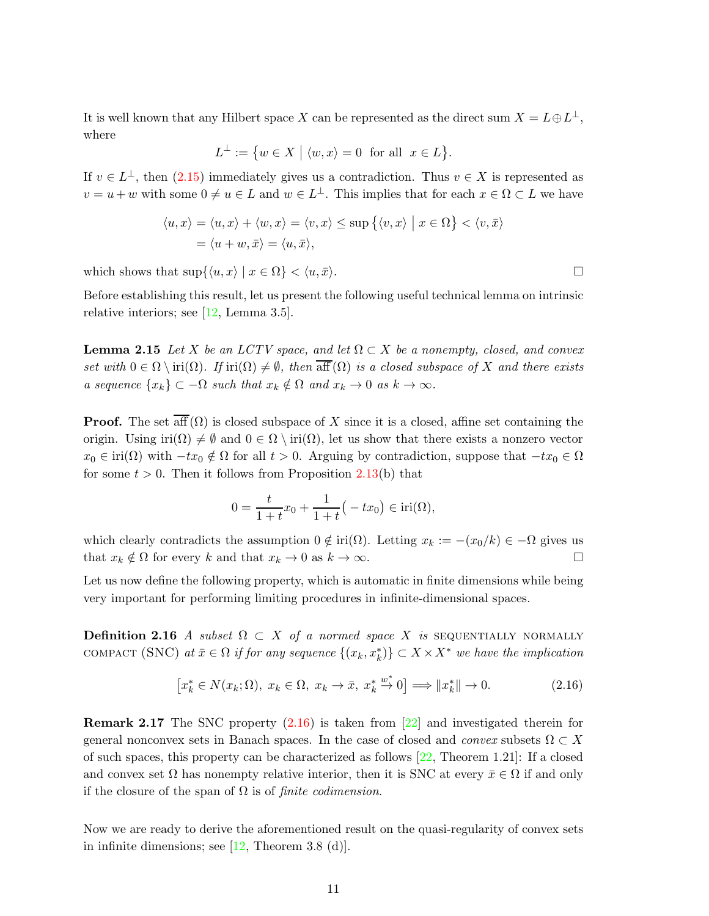It is well known that any Hilbert space X can be represented as the direct sum  $X = L \oplus L^{\perp}$ , where

$$
L^{\perp} := \{ w \in X \mid \langle w, x \rangle = 0 \text{ for all } x \in L \}.
$$

If  $v \in L^{\perp}$ , then  $(2.15)$  immediately gives us a contradiction. Thus  $v \in X$  is represented as  $v = u + w$  with some  $0 \neq u \in L$  and  $w \in L^{\perp}$ . This implies that for each  $x \in \Omega \subset L$  we have

$$
\langle u, x \rangle = \langle u, x \rangle + \langle w, x \rangle = \langle v, x \rangle \le \sup \{ \langle v, x \rangle \mid x \in \Omega \} < \langle v, \overline{x} \rangle
$$
\n
$$
= \langle u + w, \overline{x} \rangle = \langle u, \overline{x} \rangle,
$$

which shows that  $\sup\{(u, x) | x \in \Omega\} < \langle u, \bar{x}\rangle$ .

<span id="page-11-1"></span>Before establishing this result, let us present the following useful technical lemma on intrinsic relative interiors; see [\[12,](#page-26-12) Lemma 3.5].

**Lemma 2.15** Let X be an LCTV space, and let  $\Omega \subset X$  be a nonempty, closed, and convex set with  $0 \in \Omega \setminus \text{iri}(\Omega)$ . If  $\text{iri}(\Omega) \neq \emptyset$ , then  $\overline{\text{aff}}(\Omega)$  is a closed subspace of X and there exists a sequence  $\{x_k\} \subset -\Omega$  such that  $x_k \notin \Omega$  and  $x_k \to 0$  as  $k \to \infty$ .

**Proof.** The set  $\overline{\text{aff}}(\Omega)$  is closed subspace of X since it is a closed, affine set containing the origin. Using iri $(\Omega) \neq \emptyset$  and  $0 \in \Omega \setminus \text{iri}(\Omega)$ , let us show that there exists a nonzero vector  $x_0 \in \text{iri}(\Omega)$  with  $-tx_0 \notin \Omega$  for all  $t > 0$ . Arguing by contradiction, suppose that  $-tx_0 \in \Omega$ for some  $t > 0$ . Then it follows from Proposition [2.13\(](#page-9-1)b) that

$$
0 = \frac{t}{1+t}x_0 + \frac{1}{1+t}(-tx_0) \in \text{iri}(\Omega),
$$

which clearly contradicts the assumption  $0 \notin \text{iri}(\Omega)$ . Letting  $x_k := -(x_0/k) \in -\Omega$  gives us that  $x_k \notin \Omega$  for every k and that  $x_k \to 0$  as  $k \to \infty$ .

<span id="page-11-2"></span>Let us now define the following property, which is automatic in finite dimensions while being very important for performing limiting procedures in infinite-dimensional spaces.

**Definition 2.16** A subset  $\Omega \subset X$  of a normed space X is SEQUENTIALLY NORMALLY COMPACT (SNC) at  $\bar{x} \in \Omega$  if for any sequence  $\{(x_k, x_k^*)\} \subset X \times X^*$  we have the implication

<span id="page-11-0"></span>
$$
\left[x_k^* \in N(x_k; \Omega), x_k \in \Omega, x_k \to \bar{x}, x_k^* \stackrel{w^*}{\to} 0\right] \Longrightarrow \|x_k^*\| \to 0. \tag{2.16}
$$

**Remark 2.17** The SNC property  $(2.16)$  is taken from  $\boxed{22}$  and investigated therein for general nonconvex sets in Banach spaces. In the case of closed and *convex* subsets  $\Omega \subset X$ of such spaces, this property can be characterized as follows [\[22,](#page-27-9) Theorem 1.21]: If a closed and convex set  $\Omega$  has nonempty relative interior, then it is SNC at every  $\bar{x} \in \Omega$  if and only if the closure of the span of  $\Omega$  is of *finite codimension*.

<span id="page-11-3"></span>Now we are ready to derive the aforementioned result on the quasi-regularity of convex sets in infinite dimensions; see  $[12,$  Theorem 3.8 (d).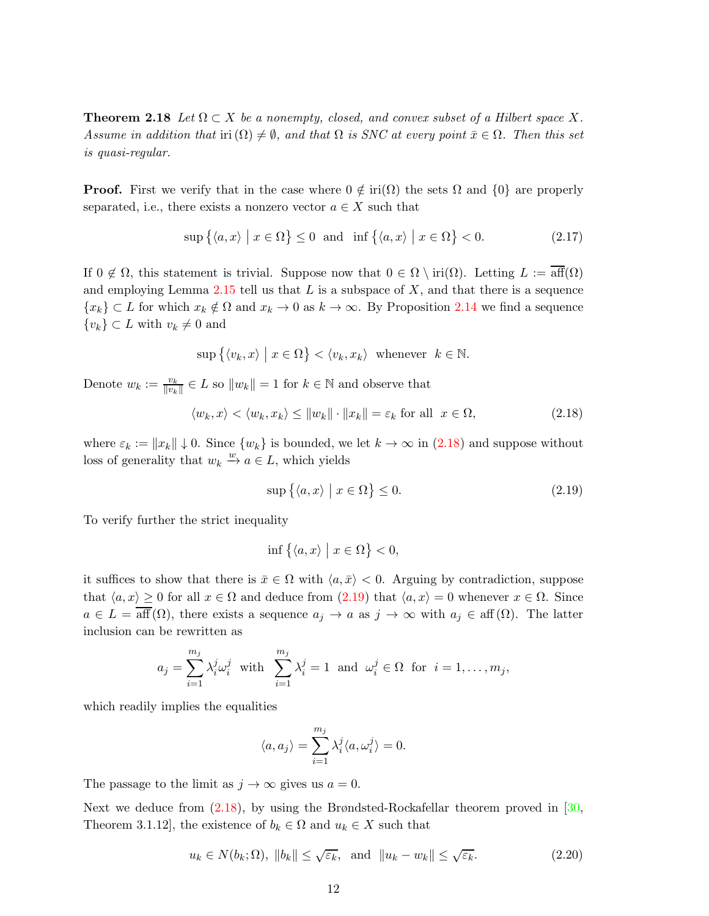**Theorem 2.18** Let  $\Omega \subset X$  be a nonempty, closed, and convex subset of a Hilbert space X. Assume in addition that iri  $(\Omega) \neq \emptyset$ , and that  $\Omega$  is SNC at every point  $\bar{x} \in \Omega$ . Then this set is quasi-regular.

**Proof.** First we verify that in the case where  $0 \notin \text{iri}(\Omega)$  the sets  $\Omega$  and  $\{0\}$  are properly separated, i.e., there exists a nonzero vector  $a \in X$  such that

<span id="page-12-3"></span>
$$
\sup\left\{\langle a,x\rangle \mid x\in\Omega\right\}\leq 0 \text{ and } \inf\left\{\langle a,x\rangle \mid x\in\Omega\right\}<0. \tag{2.17}
$$

If  $0 \notin \Omega$ , this statement is trivial. Suppose now that  $0 \in \Omega \setminus \text{iri}(\Omega)$ . Letting  $L := \overline{\text{aff}}(\Omega)$ and employing Lemma [2.15](#page-11-1) tell us that  $L$  is a subspace of  $X$ , and that there is a sequence  ${x_k} \subset L$  for which  $x_k \notin \Omega$  and  $x_k \to 0$  as  $k \to \infty$ . By Proposition [2.14](#page-10-2) we find a sequence  ${v_k} \subset L$  with  $v_k \neq 0$  and

$$
\sup\left\{\langle v_k, x\rangle \mid x \in \Omega\right\} < \langle v_k, x_k\rangle \text{ whenever } k \in \mathbb{N}.
$$

Denote  $w_k := \frac{v_k}{\|v_k\|}$  $\frac{v_k}{\|v_k\|} \in L$  so  $\|w_k\| = 1$  for  $k \in \mathbb{N}$  and observe that

<span id="page-12-0"></span>
$$
\langle w_k, x \rangle < \langle w_k, x_k \rangle \le ||w_k|| \cdot ||x_k|| = \varepsilon_k \text{ for all } x \in \Omega,\tag{2.18}
$$

where  $\varepsilon_k := ||x_k|| \downarrow 0$ . Since  $\{w_k\}$  is bounded, we let  $k \to \infty$  in  $(2.18)$  and suppose without loss of generality that  $w_k \stackrel{w}{\to} a \in L$ , which yields

<span id="page-12-1"></span>
$$
\sup\left\{\langle a,x\rangle \mid x\in\Omega\right\} \leq 0. \tag{2.19}
$$

To verify further the strict inequality

$$
\inf\left\{\langle a, x\rangle \mid x \in \Omega\right\} < 0,
$$

it suffices to show that there is  $\bar{x} \in \Omega$  with  $\langle a, \bar{x} \rangle < 0$ . Arguing by contradiction, suppose that  $\langle a, x \rangle \geq 0$  for all  $x \in \Omega$  and deduce from  $(2.19)$  that  $\langle a, x \rangle = 0$  whenever  $x \in \Omega$ . Since  $a \in L = \text{aff }(\Omega)$ , there exists a sequence  $a_j \to a$  as  $j \to \infty$  with  $a_j \in \text{aff }(\Omega)$ . The latter inclusion can be rewritten as

$$
a_j = \sum_{i=1}^{m_j} \lambda_i^j \omega_i^j \text{ with } \sum_{i=1}^{m_j} \lambda_i^j = 1 \text{ and } \omega_i^j \in \Omega \text{ for } i = 1, \dots, m_j,
$$

which readily implies the equalities

$$
\langle a,a_j\rangle=\sum_{i=1}^{m_j}\lambda_i^j\langle a,\omega_i^j\rangle=0.
$$

The passage to the limit as  $j \to \infty$  gives us  $a = 0$ .

Next we deduce from [\(2.18\)](#page-12-0), by using the Brøndsted-Rockafellar theorem proved in [\[30,](#page-27-7) Theorem 3.1.12], the existence of  $b_k \in \Omega$  and  $u_k \in X$  such that

<span id="page-12-2"></span>
$$
u_k \in N(b_k; \Omega), \|b_k\| \le \sqrt{\varepsilon_k}, \text{ and } \|u_k - w_k\| \le \sqrt{\varepsilon_k}.
$$
 (2.20)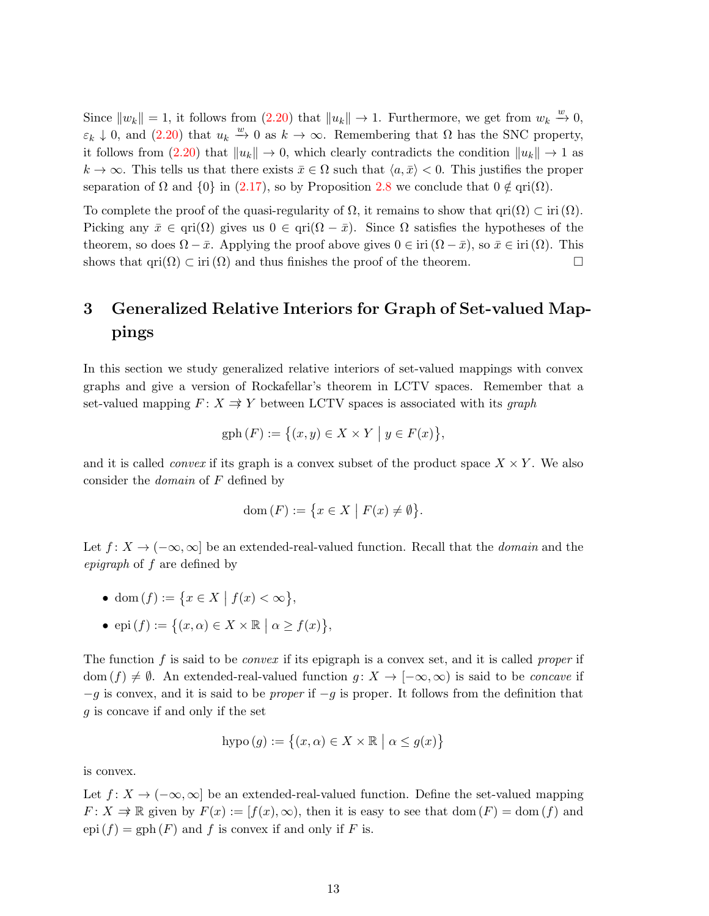Since  $||w_k|| = 1$ , it follows from  $(2.20)$  that  $||u_k|| \to 1$ . Furthermore, we get from  $w_k \stackrel{w}{\to} 0$ ,  $\varepsilon_k \downarrow 0$ , and  $(2.20)$  that  $u_k \stackrel{w}{\rightarrow} 0$  as  $k \rightarrow \infty$ . Remembering that  $\Omega$  has the SNC property, it follows from  $(2.20)$  that  $||u_k|| \to 0$ , which clearly contradicts the condition  $||u_k|| \to 1$  as  $k \to \infty$ . This tells us that there exists  $\bar{x} \in \Omega$  such that  $\langle a, \bar{x} \rangle < 0$ . This justifies the proper separation of  $\Omega$  and  $\{0\}$  in [\(2.17\)](#page-12-3), so by Proposition [2.8](#page-5-3) we conclude that  $0 \notin \text{qri}(\Omega)$ .

To complete the proof of the quasi-regularity of  $\Omega$ , it remains to show that  $\text{qri}(\Omega) \subset \text{iri}(\Omega)$ . Picking any  $\bar{x} \in \text{qri}(\Omega)$  gives us  $0 \in \text{qri}(\Omega - \bar{x})$ . Since  $\Omega$  satisfies the hypotheses of the theorem, so does  $\Omega - \bar{x}$ . Applying the proof above gives  $0 \in \text{iri }(\Omega - \bar{x})$ , so  $\bar{x} \in \text{iri }(\Omega)$ . This shows that  $\text{qri}(\Omega) \subset \text{iri}(\Omega)$  and thus finishes the proof of the theorem.

# 3 Generalized Relative Interiors for Graph of Set-valued Mappings

In this section we study generalized relative interiors of set-valued mappings with convex graphs and give a version of Rockafellar's theorem in LCTV spaces. Remember that a set-valued mapping  $F: X \to Y$  between LCTV spaces is associated with its graph

$$
\text{gph}(F) := \{(x, y) \in X \times Y \mid y \in F(x)\},\
$$

and it is called *convex* if its graph is a convex subset of the product space  $X \times Y$ . We also consider the domain of F defined by

$$
\operatorname{dom}(F) := \{ x \in X \mid F(x) \neq \emptyset \}.
$$

Let  $f: X \to (-\infty, \infty]$  be an extended-real-valued function. Recall that the *domain* and the epigraph of f are defined by

- dom  $(f) := \{ x \in X \mid f(x) < \infty \},\$
- epi  $(f) := \{(x, \alpha) \in X \times \mathbb{R} \mid \alpha \ge f(x)\},\$

The function f is said to be *convex* if its epigraph is a convex set, and it is called *proper* if dom  $(f) \neq \emptyset$ . An extended-real-valued function  $g: X \to [-\infty, \infty)$  is said to be *concave* if  $-g$  is convex, and it is said to be *proper* if  $-g$  is proper. It follows from the definition that g is concave if and only if the set

$$
hypo(g) := \{(x, \alpha) \in X \times \mathbb{R} \mid \alpha \le g(x)\}\
$$

is convex.

<span id="page-13-0"></span>Let  $f: X \to (-\infty, \infty]$  be an extended-real-valued function. Define the set-valued mapping  $F: X \to \mathbb{R}$  given by  $F(x) := [f(x), \infty)$ , then it is easy to see that dom  $(F) = \text{dom}(f)$  and  $epi(f) = gph(F)$  and f is convex if and only if F is.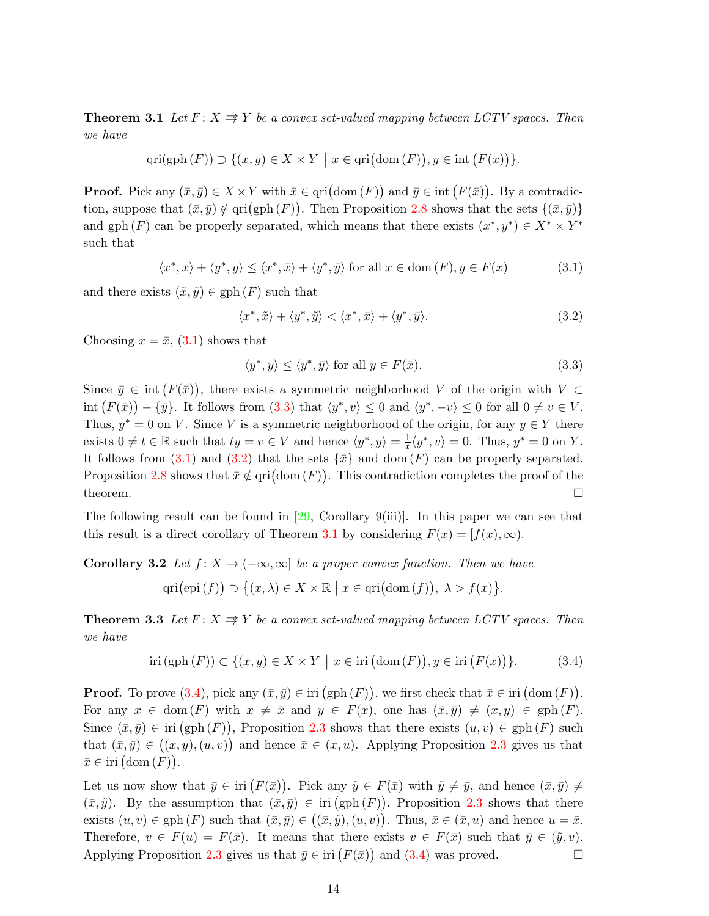**Theorem 3.1** Let  $F: X \Rightarrow Y$  be a convex set-valued mapping between LCTV spaces. Then we have

$$
\operatorname{qri}(\operatorname{gph}(F)) \supset \{(x, y) \in X \times Y \mid x \in \operatorname{qri}(\operatorname{dom}(F)), y \in \operatorname{int}(F(x))\}.
$$

**Proof.** Pick any  $(\bar{x}, \bar{y}) \in X \times Y$  with  $\bar{x} \in \text{qri}(\text{dom}(F))$  and  $\bar{y} \in \text{int}(F(\bar{x}))$ . By a contradiction, suppose that  $(\bar{x}, \bar{y}) \notin \text{pri}(\text{gph}(F))$ . Then Proposition [2.8](#page-5-3) shows that the sets  $\{(\bar{x}, \bar{y})\}$ and gph  $(F)$  can be properly separated, which means that there exists  $(x^*, y^*) \in X^* \times Y^*$ such that

<span id="page-14-0"></span>
$$
\langle x^*, x \rangle + \langle y^*, y \rangle \le \langle x^*, \bar{x} \rangle + \langle y^*, \bar{y} \rangle \text{ for all } x \in \text{dom}(F), y \in F(x) \tag{3.1}
$$

and there exists  $(\tilde{x}, \tilde{y}) \in \text{gph}(F)$  such that

<span id="page-14-2"></span>
$$
\langle x^*, \tilde{x} \rangle + \langle y^*, \tilde{y} \rangle < \langle x^*, \bar{x} \rangle + \langle y^*, \bar{y} \rangle. \tag{3.2}
$$

Choosing  $x = \bar{x}$ , [\(3.1\)](#page-14-0) shows that

<span id="page-14-6"></span><span id="page-14-1"></span>
$$
\langle y^*, y \rangle \le \langle y^*, \bar{y} \rangle \text{ for all } y \in F(\bar{x}). \tag{3.3}
$$

Since  $\bar{y} \in \text{int}(F(\bar{x}))$ , there exists a symmetric neighborhood V of the origin with  $V \subset$  $\text{int}\left(F(\bar{x})\right) - \{\bar{y}\}\.$  It follows from  $(3.3)$  that  $\langle y^*, v \rangle \leq 0$  and  $\langle y^*, -v \rangle \leq 0$  for all  $0 \neq v \in V$ . Thus,  $y^* = 0$  on V. Since V is a symmetric neighborhood of the origin, for any  $y \in Y$  there exists  $0 \neq t \in \mathbb{R}$  such that  $ty = v \in V$  and hence  $\langle y^*, y \rangle = \frac{1}{t}$  $\frac{1}{t}\langle y^*, v \rangle = 0$ . Thus,  $y^* = 0$  on Y. It follows from [\(3.1\)](#page-14-0) and [\(3.2\)](#page-14-2) that the sets  $\{\bar{x}\}\$  and dom  $(F)$  can be properly separated. Proposition [2.8](#page-5-3) shows that  $\bar{x} \notin \text{pri}(\text{dom}(F))$ . This contradiction completes the proof of the theorem.  $\Box$ 

The following result can be found in  $[29,$  Corollary  $9(iii)$ . In this paper we can see that this result is a direct corollary of Theorem [3.1](#page-13-0) by considering  $F(x) = [f(x), \infty)$ .

Corollary 3.2 Let  $f: X \to (-\infty, \infty]$  be a proper convex function. Then we have

$$
\operatorname{qri}(\operatorname{epi}(f)) \supset \big\{ (x,\lambda) \in X \times \mathbb{R} \mid x \in \operatorname{qri}(\operatorname{dom}(f)), \lambda > f(x) \big\}.
$$

<span id="page-14-4"></span>**Theorem 3.3** Let  $F: X \Rightarrow Y$  be a convex set-valued mapping between LCTV spaces. Then we have

<span id="page-14-5"></span><span id="page-14-3"></span>
$$
\operatorname{iri}\left(\operatorname{gph}\left(F\right)\right) \subset \{(x, y) \in X \times Y \mid x \in \operatorname{iri}\left(\operatorname{dom}\left(F\right)\right), y \in \operatorname{iri}\left(F(x)\right)\}.
$$
\n(3.4)

**Proof.** To prove  $(3.4)$ , pick any  $(\bar{x}, \bar{y}) \in \text{iri}(\text{gph}(F))$ , we first check that  $\bar{x} \in \text{iri}(\text{dom}(F))$ . For any  $x \in \text{dom}(F)$  with  $x \neq \bar{x}$  and  $y \in F(x)$ , one has  $(\bar{x}, \bar{y}) \neq (x, y) \in \text{gph}(F)$ . Since  $(\bar{x}, \bar{y}) \in \text{iri}(\text{gph}(F))$ , Proposition [2.3](#page-3-2) shows that there exists  $(u, v) \in \text{gph}(F)$  such that  $(\bar{x}, \bar{y}) \in ((x, y), (u, v))$  and hence  $\bar{x} \in (x, u)$ . Applying Proposition [2.3](#page-3-2) gives us that  $\bar{x} \in \text{iri}(\text{dom}(F)).$ 

Let us now show that  $\bar{y} \in \text{iri}(F(\bar{x}))$ . Pick any  $\tilde{y} \in F(\bar{x})$  with  $\tilde{y} \neq \bar{y}$ , and hence  $(\bar{x}, \bar{y}) \neq$  $(\bar{x}, \tilde{y})$ . By the assumption that  $(\bar{x}, \bar{y}) \in \text{iri}(\text{gph}(F))$ , Proposition [2.3](#page-3-2) shows that there exists  $(u, v) \in \text{gph}(F)$  such that  $(\bar{x}, \bar{y}) \in ((\bar{x}, \tilde{y}), (u, v))$ . Thus,  $\bar{x} \in (\bar{x}, u)$  and hence  $u = \bar{x}$ . Therefore,  $v \in F(u) = F(\bar{x})$ . It means that there exists  $v \in F(\bar{x})$  such that  $\bar{y} \in (\tilde{y}, v)$ . Applying Proposition [2.3](#page-3-2) gives us that  $\bar{y} \in \text{iri}(F(\bar{x}))$  and  $(3.4)$  was proved.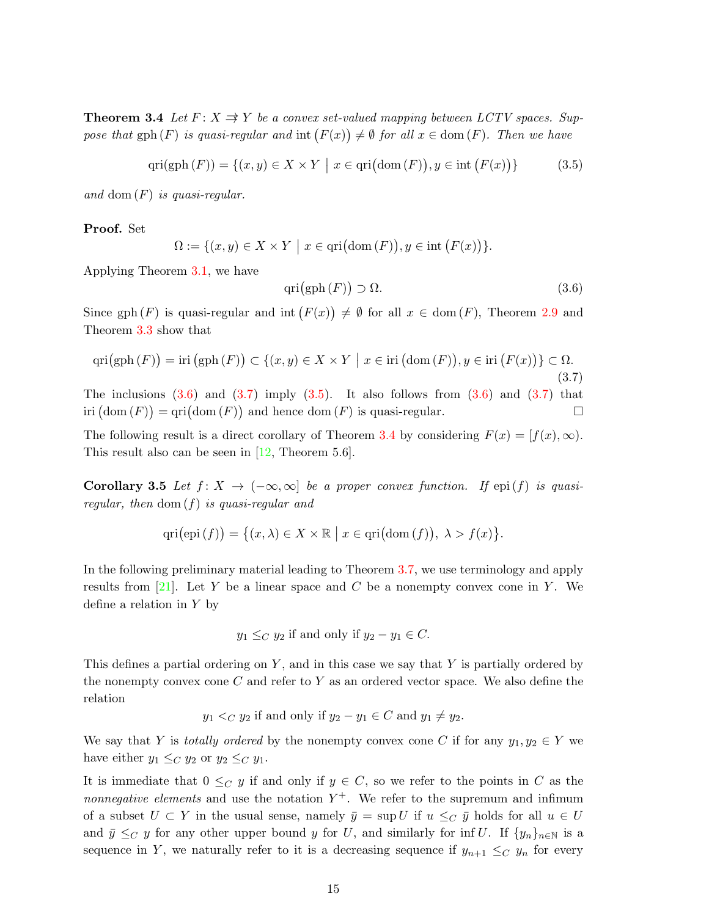**Theorem 3.4** Let  $F: X \Rightarrow Y$  be a convex set-valued mapping between LCTV spaces. Suppose that  $gph(F)$  is quasi-regular and  $int(F(x)) \neq \emptyset$  for all  $x \in dom(F)$ . Then we have

<span id="page-15-2"></span>
$$
\operatorname{qri}(\operatorname{gph}(F)) = \{(x, y) \in X \times Y \mid x \in \operatorname{qri}(\operatorname{dom}(F)), y \in \operatorname{int}(F(x))\}
$$
(3.5)

and dom  $(F)$  is quasi-regular.

Proof. Set

$$
\Omega := \{ (x, y) \in X \times Y \mid x \in \text{qri}(\text{dom}(F)), y \in \text{int}(F(x)) \}.
$$

Applying Theorem [3.1,](#page-13-0) we have

<span id="page-15-3"></span><span id="page-15-0"></span>
$$
qri\big(gph\,(F)\big) \supset \Omega. \tag{3.6}
$$

Since gph  $(F)$  is quasi-regular and int  $(F(x)) \neq \emptyset$  for all  $x \in \text{dom}(F)$ , Theorem [2.9](#page-6-5) and Theorem [3.3](#page-14-4) show that

<span id="page-15-1"></span>
$$
qri(gph(F)) = iri(gph(F)) \subset \{(x, y) \in X \times Y \mid x \in iri(\text{dom}(F)), y \in iri(F(x))\} \subset \Omega.
$$
\n(3.7)  
The inclusions (3.6) and (3.7) imply (3.5). It also follows from (3.6) and (3.7) that  
iri(dom(F)) = qri(dom(F)) and hence dom(F) is quasi-regular.

The following result is a direct corollary of Theorem [3.4](#page-14-5) by considering  $F(x) = [f(x), \infty)$ . This result also can be seen in [\[12,](#page-26-12) Theorem 5.6].

Corollary 3.5 Let  $f: X \to (-\infty, \infty]$  be a proper convex function. If epi(f) is quasiregular, then dom (f) is quasi-regular and

$$
\operatorname{qri}(\operatorname{epi}(f)) = \{(x, \lambda) \in X \times \mathbb{R} \mid x \in \operatorname{qri}(\operatorname{dom}(f)), \lambda > f(x)\}.
$$

In the following preliminary material leading to Theorem [3.7,](#page-17-0) we use terminology and apply results from [\[21\]](#page-27-10). Let Y be a linear space and C be a nonempty convex cone in Y. We define a relation in  $Y$  by

$$
y_1 \leq_C y_2
$$
 if and only if  $y_2 - y_1 \in C$ .

This defines a partial ordering on  $Y$ , and in this case we say that  $Y$  is partially ordered by the nonempty convex cone  $C$  and refer to  $Y$  as an ordered vector space. We also define the relation

$$
y_1 <_C y_2
$$
 if and only if  $y_2 - y_1 \in C$  and  $y_1 \neq y_2$ .

We say that Y is totally ordered by the nonempty convex cone C if for any  $y_1, y_2 \in Y$  we have either  $y_1 \leq_C y_2$  or  $y_2 \leq_C y_1$ .

It is immediate that  $0 \leq_C y$  if and only if  $y \in C$ , so we refer to the points in C as the *nonnegative elements* and use the notation  $Y^+$ . We refer to the supremum and infimum of a subset  $U \subset Y$  in the usual sense, namely  $\bar{y} = \sup U$  if  $u \leq_C \bar{y}$  holds for all  $u \in U$ and  $\bar{y} \leq_C y$  for any other upper bound y for U, and similarly for inf U. If  $\{y_n\}_{n\in\mathbb{N}}$  is a sequence in Y, we naturally refer to it is a decreasing sequence if  $y_{n+1} \leq_C y_n$  for every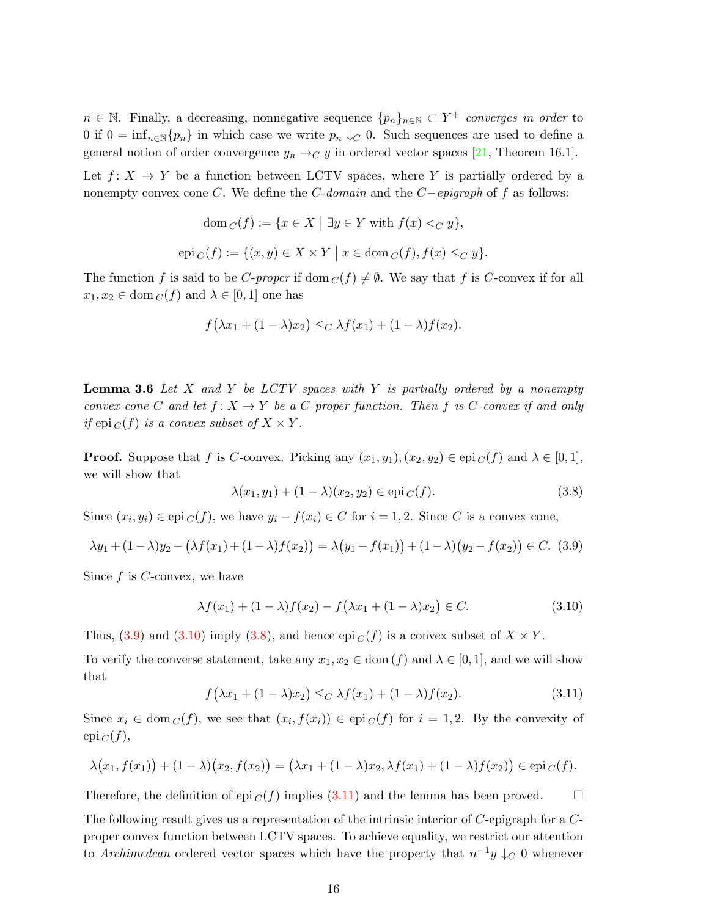$n \in \mathbb{N}$ . Finally, a decreasing, nonnegative sequence  $\{p_n\}_{n\in\mathbb{N}} \subset Y^+$  converges in order to 0 if  $0 = \inf_{n \in \mathbb{N}} \{p_n\}$  in which case we write  $p_n \downarrow_C 0$ . Such sequences are used to define a general notion of order convergence  $y_n \rightarrow_C y$  in ordered vector spaces [\[21,](#page-27-10) Theorem 16.1].

Let  $f: X \to Y$  be a function between LCTV spaces, where Y is partially ordered by a nonempty convex cone C. We define the  $C$ -domain and the  $C$ -epigraph of f as follows:

$$
\text{dom } C(f) := \{ x \in X \mid \exists y \in Y \text{ with } f(x) <_C y \},
$$
\n
$$
\text{epi } C(f) := \{ (x, y) \in X \times Y \mid x \in \text{dom } C(f), f(x) \leq_C y \}.
$$

The function f is said to be C-proper if dom  $C(f) \neq \emptyset$ . We say that f is C-convex if for all  $x_1, x_2 \in \text{dom } C(f)$  and  $\lambda \in [0, 1]$  one has

$$
f(\lambda x_1 + (1 - \lambda)x_2) \leq_C \lambda f(x_1) + (1 - \lambda)f(x_2).
$$

**Lemma 3.6** Let X and Y be LCTV spaces with Y is partially ordered by a nonempty convex cone C and let  $f: X \to Y$  be a C-proper function. Then f is C-convex if and only if epi  $_C(f)$  is a convex subset of  $X \times Y$ .

**Proof.** Suppose that f is C-convex. Picking any  $(x_1, y_1), (x_2, y_2) \in \text{epi}_C(f)$  and  $\lambda \in [0, 1]$ , we will show that

<span id="page-16-2"></span>
$$
\lambda(x_1, y_1) + (1 - \lambda)(x_2, y_2) \in \text{epi}_C(f). \tag{3.8}
$$

Since  $(x_i, y_i) \in \text{epi } C(f)$ , we have  $y_i - f(x_i) \in C$  for  $i = 1, 2$ . Since C is a convex cone,

<span id="page-16-0"></span>
$$
\lambda y_1 + (1 - \lambda)y_2 - (\lambda f(x_1) + (1 - \lambda)f(x_2)) = \lambda (y_1 - f(x_1)) + (1 - \lambda)(y_2 - f(x_2)) \in C. \tag{3.9}
$$

Since f is C-convex, we have

<span id="page-16-1"></span>
$$
\lambda f(x_1) + (1 - \lambda)f(x_2) - f(\lambda x_1 + (1 - \lambda)x_2) \in C.
$$
 (3.10)

Thus, [\(3.9\)](#page-16-0) and [\(3.10\)](#page-16-1) imply [\(3.8\)](#page-16-2), and hence epi  $_C(f)$  is a convex subset of  $X \times Y$ .

To verify the converse statement, take any  $x_1, x_2 \in \text{dom}(f)$  and  $\lambda \in [0, 1]$ , and we will show that

<span id="page-16-3"></span>
$$
f(\lambda x_1 + (1 - \lambda)x_2) \leq_C \lambda f(x_1) + (1 - \lambda)f(x_2).
$$
 (3.11)

Since  $x_i \in \text{dom}_C(f)$ , we see that  $(x_i, f(x_i)) \in \text{epi}_C(f)$  for  $i = 1, 2$ . By the convexity of  $epi_C(f),$ 

$$
\lambda(x_1, f(x_1)) + (1 - \lambda)(x_2, f(x_2)) = (\lambda x_1 + (1 - \lambda)x_2, \lambda f(x_1) + (1 - \lambda)f(x_2)) \in \text{epi}_{C}(f).
$$

Therefore, the definition of epi  $_C(f)$  implies [\(3.11\)](#page-16-3) and the lemma has been proved.

The following result gives us a representation of the intrinsic interior of C-epigraph for a Cproper convex function between LCTV spaces. To achieve equality, we restrict our attention to Archimedean ordered vector spaces which have the property that  $n^{-1}y \downarrow_C 0$  whenever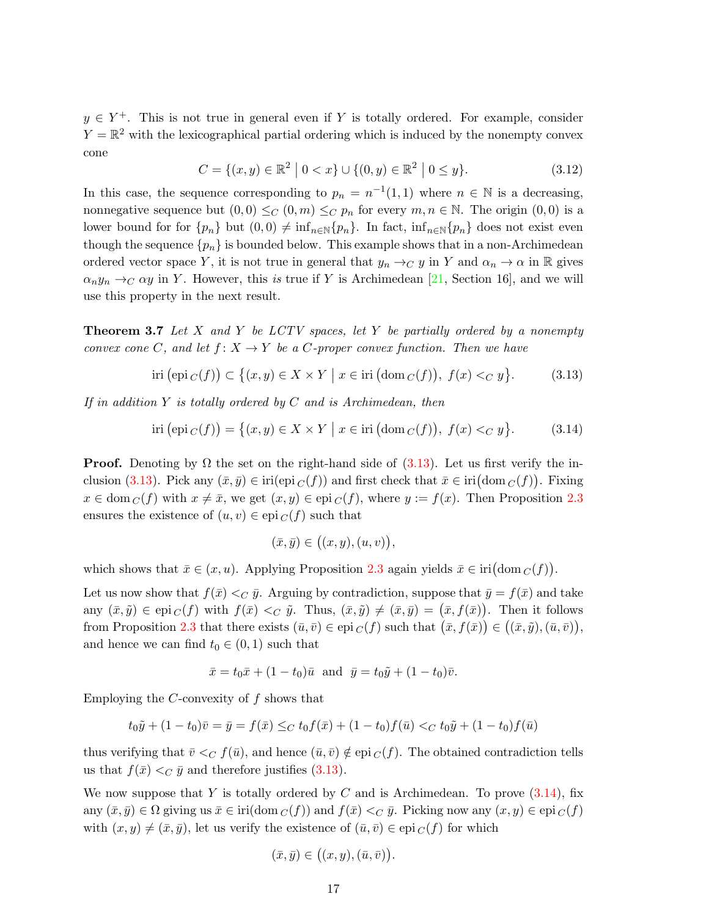$y \in Y^+$ . This is not true in general even if Y is totally ordered. For example, consider  $Y = \mathbb{R}^2$  with the lexicographical partial ordering which is induced by the nonempty convex cone

<span id="page-17-3"></span>
$$
C = \{(x, y) \in \mathbb{R}^2 \mid 0 < x\} \cup \{(0, y) \in \mathbb{R}^2 \mid 0 \le y\}. \tag{3.12}
$$

In this case, the sequence corresponding to  $p_n = n^{-1}(1,1)$  where  $n \in \mathbb{N}$  is a decreasing, nonnegative sequence but  $(0,0) \leq_C (0,m) \leq_C p_n$  for every  $m, n \in \mathbb{N}$ . The origin  $(0,0)$  is a lower bound for for  $\{p_n\}$  but  $(0, 0) \neq \inf_{n \in \mathbb{N}}\{p_n\}$ . In fact,  $\inf_{n \in \mathbb{N}}\{p_n\}$  does not exist even though the sequence  $\{p_n\}$  is bounded below. This example shows that in a non-Archimedean ordered vector space Y, it is not true in general that  $y_n \to_C y$  in Y and  $\alpha_n \to \alpha$  in R gives  $\alpha_n y_n \to_C \alpha y$  in Y. However, this is true if Y is Archimedean [\[21,](#page-27-10) Section 16], and we will use this property in the next result.

<span id="page-17-0"></span>**Theorem 3.7** Let X and Y be LCTV spaces, let Y be partially ordered by a nonempty convex cone C, and let  $f: X \to Y$  be a C-proper convex function. Then we have

<span id="page-17-1"></span>
$$
\text{iri}\left(\text{epi}\,c(f)\right) \subset \left\{(x,y) \in X \times Y \mid x \in \text{iri}\left(\text{dom}\,c(f)\right),\ f(x) <_{C} y\right\}.\tag{3.13}
$$

If in addition Y is totally ordered by  $C$  and is Archimedean, then

<span id="page-17-2"></span>
$$
iri(\text{epi }_{C}(f)) = \{(x, y) \in X \times Y \mid x \in iri(\text{dom }_{C}(f)), f(x) <_{C} y\}. \tag{3.14}
$$

**Proof.** Denoting by  $\Omega$  the set on the right-hand side of [\(3.13\)](#page-17-1). Let us first verify the in-clusion [\(3.13\)](#page-17-1). Pick any  $(\bar{x}, \bar{y}) \in \text{iri}(\text{epi }_C(f))$  and first check that  $\bar{x} \in \text{iri}(\text{dom }_C(f))$ . Fixing  $x \in \text{dom}_C(f)$  with  $x \neq \bar{x}$ , we get  $(x, y) \in \text{epi}_C(f)$ , where  $y := f(x)$ . Then Proposition [2.3](#page-3-2) ensures the existence of  $(u, v) \in epi_C(f)$  such that

$$
(\bar{x},\bar{y})\in ((x,y),(u,v)),
$$

which shows that  $\bar{x} \in (x, u)$ . Applying Proposition [2.3](#page-3-2) again yields  $\bar{x} \in \text{iri}(\text{dom } C(f)).$ 

Let us now show that  $f(\bar{x}) <_{C} \bar{y}$ . Arguing by contradiction, suppose that  $\bar{y} = f(\bar{x})$  and take any  $(\bar{x}, \tilde{y}) \in \text{epi}_{C}(f)$  with  $f(\bar{x}) <_{C} \tilde{y}$ . Thus,  $(\bar{x}, \tilde{y}) \neq (\bar{x}, \bar{y}) = (\bar{x}, f(\bar{x}))$ . Then it follows from Proposition [2.3](#page-3-2) that there exists  $(\bar{u}, \bar{v}) \in epi_C(f)$  such that  $(\bar{x}, f(\bar{x})) \in ((\bar{x}, \tilde{y}), (\bar{u}, \bar{v})),$ and hence we can find  $t_0 \in (0, 1)$  such that

$$
\bar{x} = t_0 \bar{x} + (1 - t_0) \bar{u}
$$
 and  $\bar{y} = t_0 \tilde{y} + (1 - t_0) \bar{v}$ .

Employing the  $C$ -convexity of  $f$  shows that

$$
t_0\tilde{y} + (1 - t_0)\bar{v} = \bar{y} = f(\bar{x}) \leq_C t_0 f(\bar{x}) + (1 - t_0)f(\bar{u}) <_C t_0\tilde{y} + (1 - t_0)f(\bar{u})
$$

thus verifying that  $\bar{v} <_{C} f(\bar{u})$ , and hence  $(\bar{u}, \bar{v}) \notin e^{i\sigma}$  (f). The obtained contradiction tells us that  $f(\bar{x}) <_{C} \bar{y}$  and therefore justifies [\(3.13\)](#page-17-1).

We now suppose that Y is totally ordered by C and is Archimedean. To prove  $(3.14)$ , fix any  $(\bar{x}, \bar{y}) \in \Omega$  giving us  $\bar{x} \in \text{iri}(\text{dom } C(f))$  and  $f(\bar{x}) <_C \bar{y}$ . Picking now any  $(x, y) \in \text{epi } C(f)$ with  $(x, y) \neq (\bar{x}, \bar{y})$ , let us verify the existence of  $(\bar{u}, \bar{v}) \in epi_C(f)$  for which

$$
(\bar{x}, \bar{y}) \in ((x, y), (\bar{u}, \bar{v}))
$$

.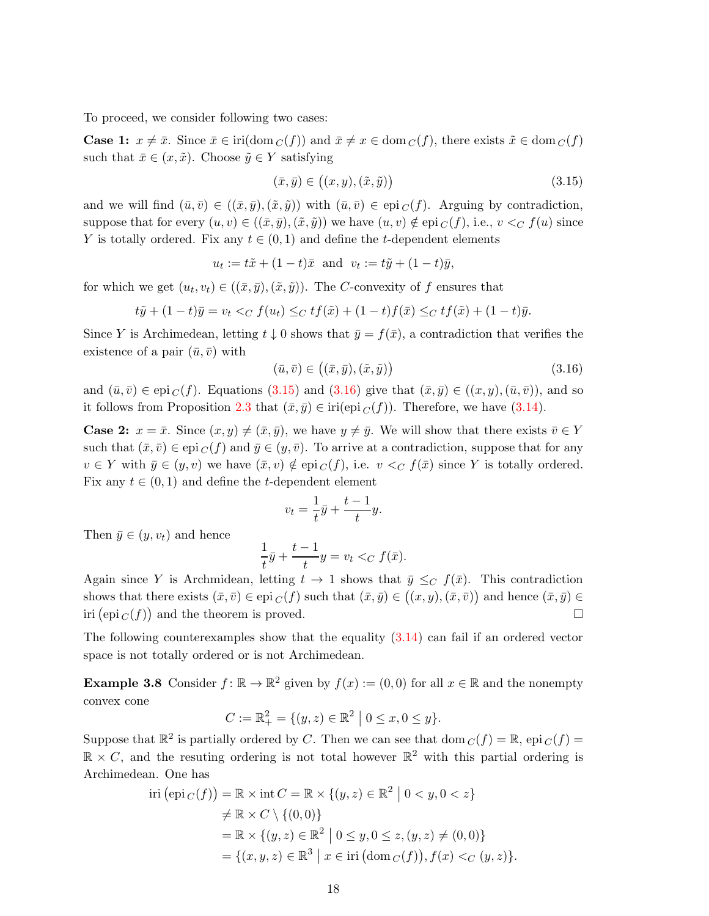To proceed, we consider following two cases:

**Case 1:**  $x \neq \bar{x}$ . Since  $\bar{x} \in \text{iri}(\text{dom } C(f))$  and  $\bar{x} \neq x \in \text{dom } C(f)$ , there exists  $\tilde{x} \in \text{dom } C(f)$ such that  $\bar{x} \in (x, \tilde{x})$ . Choose  $\tilde{y} \in Y$  satisfying

<span id="page-18-0"></span>
$$
(\bar{x}, \bar{y}) \in ((x, y), (\tilde{x}, \tilde{y})) \tag{3.15}
$$

and we will find  $(\bar{u}, \bar{v}) \in ((\bar{x}, \bar{y}),(\tilde{x}, \tilde{y}))$  with  $(\bar{u}, \bar{v}) \in \text{epi }_C(f)$ . Arguing by contradiction, suppose that for every  $(u, v) \in ((\bar{x}, \bar{y}), (\tilde{x}, \tilde{y}))$  we have  $(u, v) \notin$  epi  $_C(f)$ , i.e.,  $v <_C f(u)$  since Y is totally ordered. Fix any  $t \in (0,1)$  and define the t-dependent elements

$$
u_t := t\tilde{x} + (1-t)\bar{x}
$$
 and  $v_t := t\tilde{y} + (1-t)\bar{y}$ ,

for which we get  $(u_t, v_t) \in ((\bar{x}, \bar{y}), (\tilde{x}, \tilde{y}))$ . The C-convexity of f ensures that

$$
t\tilde{y} + (1-t)\bar{y} = v_t \langle C f(u_t) \rangle \langle C t f(\tilde{x}) + (1-t)f(\bar{x}) \rangle \langle C t f(\tilde{x}) + (1-t)\bar{y}.
$$

Since Y is Archimedean, letting  $t \downarrow 0$  shows that  $\bar{y} = f(\bar{x})$ , a contradiction that verifies the existence of a pair  $(\bar{u}, \bar{v})$  with

<span id="page-18-1"></span>
$$
(\bar{u}, \bar{v}) \in ((\bar{x}, \bar{y}), (\tilde{x}, \tilde{y})) \tag{3.16}
$$

and  $(\bar{u}, \bar{v}) \in \text{epi}_{\mathcal{C}}(f)$ . Equations [\(3.15\)](#page-18-0) and [\(3.16\)](#page-18-1) give that  $(\bar{x}, \bar{y}) \in ((x, y), (\bar{u}, \bar{v}))$ , and so it follows from Proposition [2.3](#page-3-2) that  $(\bar{x}, \bar{y}) \in \text{iri}(\text{epi }_{C}(f))$ . Therefore, we have [\(3.14\)](#page-17-2).

**Case 2:**  $x = \bar{x}$ . Since  $(x, y) \neq (\bar{x}, \bar{y})$ , we have  $y \neq \bar{y}$ . We will show that there exists  $\bar{v} \in Y$ such that  $(\bar{x}, \bar{v}) \in epi_C(f)$  and  $\bar{y} \in (y, \bar{v})$ . To arrive at a contradiction, suppose that for any  $v \in Y$  with  $\bar{y} \in (y, v)$  we have  $(\bar{x}, v) \notin \text{epi}_C(f)$ , i.e.  $v \leq_C f(\bar{x})$  since Y is totally ordered. Fix any  $t \in (0, 1)$  and define the t-dependent element

$$
v_t = \frac{1}{t}\bar{y} + \frac{t-1}{t}y.
$$

Then  $\bar{y} \in (y, v_t)$  and hence

$$
\frac{1}{t}\bar{y} + \frac{t-1}{t}y = v_t <_{C} f(\bar{x}).
$$

Again since Y is Archmidean, letting  $t \to 1$  shows that  $\bar{y} \leq_C f(\bar{x})$ . This contradiction shows that there exists  $(\bar{x}, \bar{v}) \in epi_C(f)$  such that  $(\bar{x}, \bar{y}) \in ((x, y), (\bar{x}, \bar{v}))$  and hence  $(\bar{x}, \bar{y}) \in$ iri  $(\text{epi }_{C}(f))$  and the theorem is proved.

The following counterexamples show that the equality [\(3.14\)](#page-17-2) can fail if an ordered vector space is not totally ordered or is not Archimedean.

**Example 3.8** Consider  $f: \mathbb{R} \to \mathbb{R}^2$  given by  $f(x) := (0,0)$  for all  $x \in \mathbb{R}$  and the nonempty convex cone

$$
C := \mathbb{R}^2_+ = \{ (y, z) \in \mathbb{R}^2 \mid 0 \le x, 0 \le y \}.
$$

Suppose that  $\mathbb{R}^2$  is partially ordered by C. Then we can see that  $\text{dom } C(f) = \mathbb{R}$ , epi  $C(f) =$  $\mathbb{R} \times C$ , and the resuting ordering is not total however  $\mathbb{R}^2$  with this partial ordering is Archimedean. One has

$$
\text{iri}(\text{epi}_C(f)) = \mathbb{R} \times \text{int } C = \mathbb{R} \times \{(y, z) \in \mathbb{R}^2 \mid 0 < y, 0 < z\}
$$
\n
$$
\neq \mathbb{R} \times C \setminus \{(0, 0)\}
$$
\n
$$
= \mathbb{R} \times \{(y, z) \in \mathbb{R}^2 \mid 0 \le y, 0 \le z, (y, z) \ne (0, 0)\}
$$
\n
$$
= \{(x, y, z) \in \mathbb{R}^3 \mid x \in \text{iri}(\text{dom } C(f)), f(x) <_{C} (y, z)\}.
$$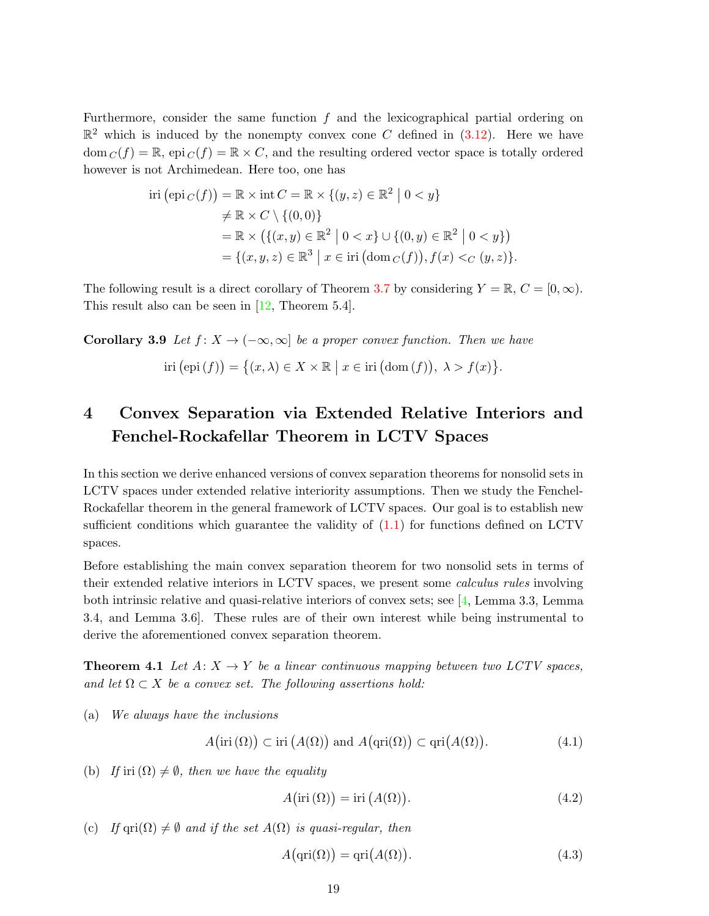Furthermore, consider the same function  $f$  and the lexicographical partial ordering on  $\mathbb{R}^2$  which is induced by the nonempty convex cone C defined in [\(3.12\)](#page-17-3). Here we have  $dom_C(f) = \mathbb{R},$  epi  $_C(f) = \mathbb{R} \times C$ , and the resulting ordered vector space is totally ordered however is not Archimedean. Here too, one has

$$
\text{iri}(\text{epi}_C(f)) = \mathbb{R} \times \text{int } C = \mathbb{R} \times \{(y, z) \in \mathbb{R}^2 \mid 0 < y\} \\
\neq \mathbb{R} \times C \setminus \{(0, 0)\} \\
= \mathbb{R} \times \left(\{(x, y) \in \mathbb{R}^2 \mid 0 < x\} \cup \{(0, y) \in \mathbb{R}^2 \mid 0 < y\}\right) \\
= \{(x, y, z) \in \mathbb{R}^3 \mid x \in \text{iri}(\text{dom } C(f)), f(x) <_{C} (y, z)\}.
$$

The following result is a direct corollary of Theorem [3.7](#page-17-0) by considering  $Y = \mathbb{R}, C = [0, \infty)$ . This result also can be seen in [\[12,](#page-26-12) Theorem 5.4].

**Corollary 3.9** Let  $f: X \to (-\infty, \infty]$  be a proper convex function. Then we have

$$
iri\left(\mathrm{epi}\left(f\right)\right) = \big\{(x,\lambda) \in X \times \mathbb{R} \mid x \in \mathrm{iri}\left(\mathrm{dom}\left(f\right)\right), \ \lambda > f(x)\big\}.
$$

## 4 Convex Separation via Extended Relative Interiors and Fenchel-Rockafellar Theorem in LCTV Spaces

In this section we derive enhanced versions of convex separation theorems for nonsolid sets in LCTV spaces under extended relative interiority assumptions. Then we study the Fenchel-Rockafellar theorem in the general framework of LCTV spaces. Our goal is to establish new sufficient conditions which guarantee the validity of  $(1.1)$  for functions defined on LCTV spaces.

Before establishing the main convex separation theorem for two nonsolid sets in terms of their extended relative interiors in LCTV spaces, we present some calculus rules involving both intrinsic relative and quasi-relative interiors of convex sets; see [\[4,](#page-26-13) Lemma 3.3, Lemma 3.4, and Lemma 3.6]. These rules are of their own interest while being instrumental to derive the aforementioned convex separation theorem.

**Theorem 4.1** Let  $A: X \to Y$  be a linear continuous mapping between two LCTV spaces, and let  $\Omega \subset X$  be a convex set. The following assertions hold:

(a) We always have the inclusions

<span id="page-19-0"></span>
$$
A\big(\mathrm{iri}\,(\Omega)\big) \subset \mathrm{iri}\,\big(A(\Omega)\big) \text{ and } A\big(\mathrm{qri}(\Omega)\big) \subset \mathrm{qri}\big(A(\Omega)\big). \tag{4.1}
$$

(b) If iri  $(\Omega) \neq \emptyset$ , then we have the equality

<span id="page-19-3"></span><span id="page-19-1"></span> $A\bigl(\text{iri}\,(\Omega)\bigr) = \text{iri}\, (A(\Omega))$  $(4.2)$ 

(c) If  $\text{qri}(\Omega) \neq \emptyset$  and if the set  $A(\Omega)$  is quasi-regular, then

<span id="page-19-2"></span>
$$
A(\text{qri}(\Omega)) = \text{qri}(A(\Omega)).\tag{4.3}
$$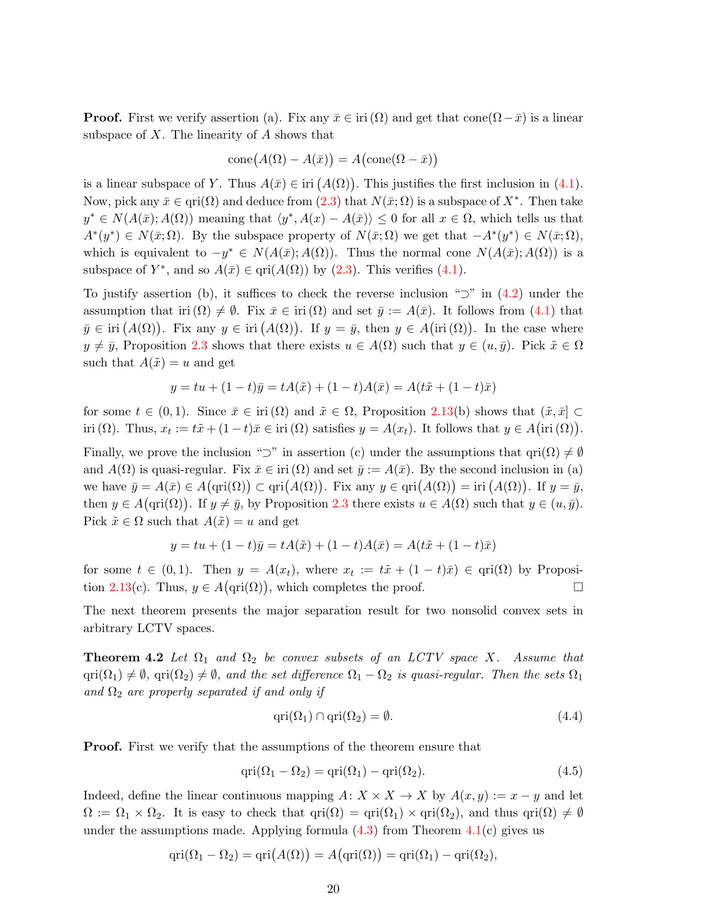**Proof.** First we verify assertion (a). Fix any  $\bar{x} \in \text{iri}(\Omega)$  and get that cone $(\Omega - \bar{x})$  is a linear subspace of  $X$ . The linearity of  $A$  shows that

$$
cone(A(\Omega) - A(\bar{x})) = A (cone(\Omega - \bar{x}))
$$

is a linear subspace of Y. Thus  $A(\bar{x}) \in \text{iri}(A(\Omega))$ . This justifies the first inclusion in [\(4.1\)](#page-19-0). Now, pick any  $\bar{x} \in \text{qri}(\Omega)$  and deduce from  $(2.3)$  that  $N(\bar{x}; \Omega)$  is a subspace of  $X^*$ . Then take  $y^* \in N(A(\bar{x}); A(\Omega))$  meaning that  $\langle y^*, A(x) - A(\bar{x}) \rangle \leq 0$  for all  $x \in \Omega$ , which tells us that  $A^*(y^*) \in N(\bar{x}; \Omega)$ . By the subspace property of  $N(\bar{x}; \Omega)$  we get that  $-A^*(y^*) \in N(\bar{x}; \Omega)$ , which is equivalent to  $-y^* \in N(A(\bar{x}); A(\Omega))$ . Thus the normal cone  $N(A(\bar{x}); A(\Omega))$  is a subspace of  $Y^*$ , and so  $A(\bar{x}) \in \text{qri}(A(\Omega))$  by [\(2.3\)](#page-5-1). This verifies [\(4.1\)](#page-19-0).

To justify assertion (b), it suffices to check the reverse inclusion " $\supset$ " in [\(4.2\)](#page-19-1) under the assumption that iri  $(\Omega) \neq \emptyset$ . Fix  $\bar{x} \in \text{iri}(\Omega)$  and set  $\bar{y} := A(\bar{x})$ . It follows from [\(4.1\)](#page-19-0) that  $\bar{y} \in \text{iri}(A(\Omega))$ . Fix any  $y \in \text{iri}(A(\Omega))$ . If  $y = \bar{y}$ , then  $y \in A(\text{iri}(\Omega))$ . In the case where  $y \neq \bar{y}$ , Proposition [2.3](#page-3-2) shows that there exists  $u \in A(\Omega)$  such that  $y \in (u, \bar{y})$ . Pick  $\tilde{x} \in \Omega$ such that  $A(\tilde{x}) = u$  and get

$$
y = tu + (1 - t)\bar{y} = tA(\tilde{x}) + (1 - t)A(\bar{x}) = A(t\tilde{x} + (1 - t)\bar{x})
$$

for some  $t \in (0,1)$ . Since  $\bar{x} \in \text{iri}(\Omega)$  and  $\tilde{x} \in \Omega$ , Proposition [2.13\(](#page-9-1)b) shows that  $(\tilde{x}, \bar{x}] \subset \Omega$ iri ( $\Omega$ ). Thus,  $x_t := t\tilde{x} + (1-t)\bar{x} \in \text{iri}(\Omega)$  satisfies  $y = A(x_t)$ . It follows that  $y \in A(\text{iri}(\Omega))$ .

Finally, we prove the inclusion "⊃" in assertion (c) under the assumptions that  $\text{qri}(\Omega) \neq \emptyset$ and  $A(\Omega)$  is quasi-regular. Fix  $\bar{x} \in \text{iri}(\Omega)$  and set  $\bar{y} := A(\bar{x})$ . By the second inclusion in (a) we have  $\bar{y} = A(\bar{x}) \in A(\text{qri}(\Omega)) \subset \text{qri}(A(\Omega))$ . Fix any  $y \in \text{qri}(A(\Omega)) = \text{iri}(A(\Omega))$ . If  $y = \bar{y}$ , then  $y \in A(\text{qri}(\Omega))$ . If  $y \neq \bar{y}$ , by Proposition [2.3](#page-3-2) there exists  $u \in A(\Omega)$  such that  $y \in (u, \bar{y})$ . Pick  $\tilde{x} \in \Omega$  such that  $A(\tilde{x}) = u$  and get

<span id="page-20-2"></span>
$$
y = tu + (1 - t)\bar{y} = tA(\tilde{x}) + (1 - t)A(\bar{x}) = A(t\tilde{x} + (1 - t)\bar{x})
$$

for some  $t \in (0,1)$ . Then  $y = A(x_t)$ , where  $x_t := t\tilde{x} + (1-t)\bar{x}$   $\in$   $\text{qri}(\Omega)$  by Proposi-tion [2.13\(](#page-9-1)c). Thus,  $y \in A(\text{qri}(\Omega))$ , which completes the proof.

The next theorem presents the major separation result for two nonsolid convex sets in arbitrary LCTV spaces.

**Theorem 4.2** Let  $\Omega_1$  and  $\Omega_2$  be convex subsets of an LCTV space X. Assume that  $\text{qri}(\Omega_1) \neq \emptyset$ ,  $\text{qri}(\Omega_2) \neq \emptyset$ , and the set difference  $\Omega_1 - \Omega_2$  is quasi-regular. Then the sets  $\Omega_1$ and  $\Omega_2$  are properly separated if and only if

<span id="page-20-1"></span>
$$
qri(\Omega_1) \cap qri(\Omega_2) = \emptyset. \tag{4.4}
$$

**Proof.** First we verify that the assumptions of the theorem ensure that

<span id="page-20-0"></span>
$$
qri(\Omega_1 - \Omega_2) = qri(\Omega_1) - qri(\Omega_2).
$$
\n(4.5)

Indeed, define the linear continuous mapping  $A: X \times X \to X$  by  $A(x, y) := x - y$  and let  $\Omega := \Omega_1 \times \Omega_2$ . It is easy to check that  $\text{qri}(\Omega) = \text{qri}(\Omega_1) \times \text{qri}(\Omega_2)$ , and thus  $\text{qri}(\Omega) \neq \emptyset$ under the assumptions made. Applying formula  $(4.3)$  from Theorem  $4.1(c)$  $4.1(c)$  gives us

$$
qri(\Omega_1 - \Omega_2) = qi(A(\Omega)) = A(qri(\Omega)) = qri(\Omega_1) - qi(\Omega_2),
$$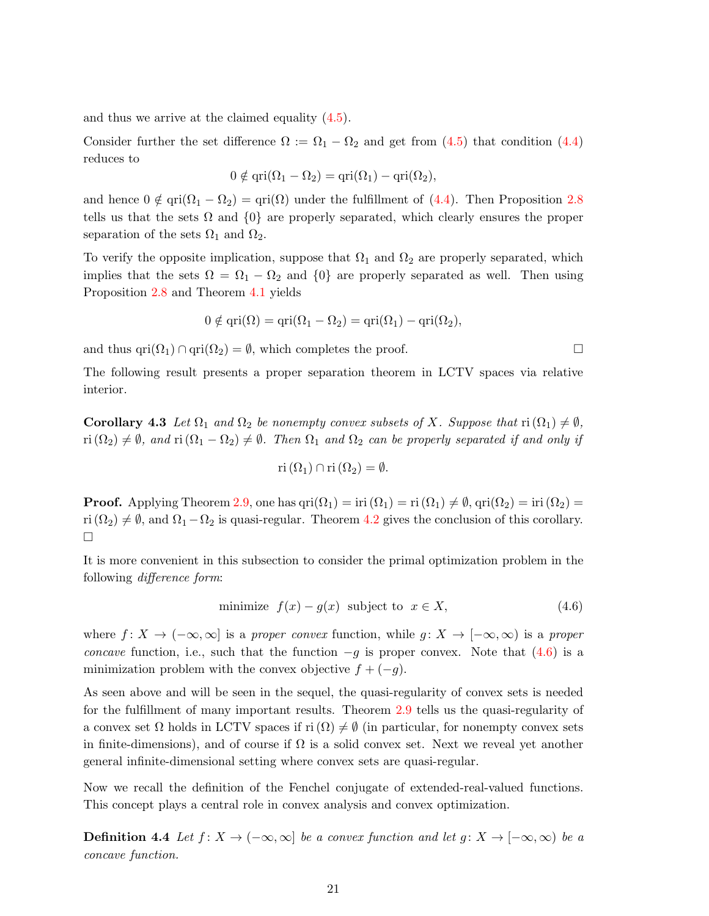and thus we arrive at the claimed equality [\(4.5\)](#page-20-0).

Consider further the set difference  $\Omega := \Omega_1 - \Omega_2$  and get from [\(4.5\)](#page-20-0) that condition [\(4.4\)](#page-20-1) reduces to

$$
0 \notin \text{qri}(\Omega_1 - \Omega_2) = \text{qri}(\Omega_1) - \text{qri}(\Omega_2),
$$

and hence  $0 \notin \text{qri}(\Omega_1 - \Omega_2) = \text{qri}(\Omega)$  under the fulfillment of [\(4.4\)](#page-20-1). Then Proposition [2.8](#page-5-3) tells us that the sets  $\Omega$  and  $\{0\}$  are properly separated, which clearly ensures the proper separation of the sets  $\Omega_1$  and  $\Omega_2$ .

To verify the opposite implication, suppose that  $\Omega_1$  and  $\Omega_2$  are properly separated, which implies that the sets  $\Omega = \Omega_1 - \Omega_2$  and  $\{0\}$  are properly separated as well. Then using Proposition [2.8](#page-5-3) and Theorem [4.1](#page-19-3) yields

$$
0 \notin \text{qri}(\Omega) = \text{qri}(\Omega_1 - \Omega_2) = \text{qri}(\Omega_1) - \text{qri}(\Omega_2),
$$

and thus qri $(\Omega_1) \cap \text{qri}(\Omega_2) = \emptyset$ , which completes the proof.

The following result presents a proper separation theorem in LCTV spaces via relative interior.

**Corollary 4.3** Let  $\Omega_1$  and  $\Omega_2$  be nonempty convex subsets of X. Suppose that  $\text{ri}(\Omega_1) \neq \emptyset$ ,  $\text{ri}(\Omega_2) \neq \emptyset$ , and  $\text{ri}(\Omega_1 - \Omega_2) \neq \emptyset$ . Then  $\Omega_1$  and  $\Omega_2$  can be properly separated if and only if

$$
\mathrm{ri}\,(\Omega_1)\cap\mathrm{ri}\,(\Omega_2)=\emptyset.
$$

**Proof.** Applying Theorem [2.9,](#page-6-5) one has  $\text{qri}(\Omega_1) = \text{iri}(\Omega_1) = \text{ri}(\Omega_1) \neq \emptyset$ ,  $\text{qri}(\Omega_2) = \text{iri}(\Omega_2)$ ri  $(\Omega_2) \neq \emptyset$ , and  $\Omega_1 - \Omega_2$  is quasi-regular. Theorem [4.2](#page-20-2) gives the conclusion of this corollary.  $\Box$ 

It is more convenient in this subsection to consider the primal optimization problem in the following difference form:

<span id="page-21-0"></span>minimize 
$$
f(x) - g(x)
$$
 subject to  $x \in X$ , (4.6)

where  $f: X \to (-\infty, \infty]$  is a proper convex function, while  $g: X \to [-\infty, \infty)$  is a proper concave function, i.e., such that the function  $-g$  is proper convex. Note that [\(4.6\)](#page-21-0) is a minimization problem with the convex objective  $f + (-g)$ .

As seen above and will be seen in the sequel, the quasi-regularity of convex sets is needed for the fulfillment of many important results. Theorem [2.9](#page-6-5) tells us the quasi-regularity of a convex set  $\Omega$  holds in LCTV spaces if ri  $(\Omega) \neq \emptyset$  (in particular, for nonempty convex sets in finite-dimensions), and of course if  $\Omega$  is a solid convex set. Next we reveal yet another general infinite-dimensional setting where convex sets are quasi-regular.

Now we recall the definition of the Fenchel conjugate of extended-real-valued functions. This concept plays a central role in convex analysis and convex optimization.

**Definition 4.4** Let  $f: X \to (-\infty, \infty]$  be a convex function and let  $g: X \to [-\infty, \infty)$  be a concave function.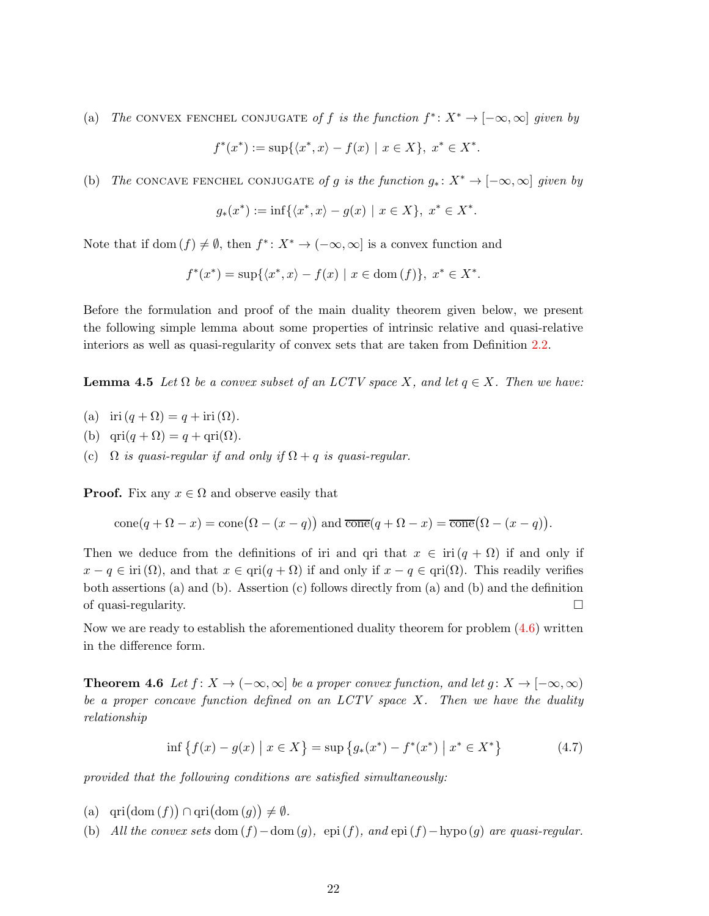(a) The CONVEX FENCHEL CONJUGATE of f is the function  $f^*: X^* \to [-\infty, \infty]$  given by

$$
f^*(x^*) := \sup \{ \langle x^*, x \rangle - f(x) \mid x \in X \}, \ x^* \in X^*.
$$

(b) The CONCAVE FENCHEL CONJUGATE of g is the function  $g_* : X^* \to [-\infty, \infty]$  given by

$$
g_*(x^*):=\inf\{\langle x^*,x\rangle - g(x) \ | \ x\in X\}, \ x^*\in X^*.
$$

Note that if dom  $(f) \neq \emptyset$ , then  $f^*$ :  $X^* \to (-\infty, \infty]$  is a convex function and

$$
f^*(x^*) = \sup\{\langle x^*, x \rangle - f(x) \mid x \in \text{dom}(f)\}, \ x^* \in X^*.
$$

<span id="page-22-1"></span>Before the formulation and proof of the main duality theorem given below, we present the following simple lemma about some properties of intrinsic relative and quasi-relative interiors as well as quasi-regularity of convex sets that are taken from Definition [2.2.](#page-3-1)

**Lemma 4.5** Let  $\Omega$  be a convex subset of an LCTV space X, and let  $q \in X$ . Then we have:

- (a) iri  $(q + \Omega) = q + \text{iri}(\Omega)$ .
- (b)  $\text{qri}(q + \Omega) = q + \text{qri}(\Omega)$ .
- (c)  $\Omega$  is quasi-regular if and only if  $\Omega + q$  is quasi-regular.

**Proof.** Fix any  $x \in \Omega$  and observe easily that

$$
\text{cone}(q + \Omega - x) = \text{cone}(\Omega - (x - q)) \text{ and } \overline{\text{cone}}(q + \Omega - x) = \overline{\text{cone}}(\Omega - (x - q)).
$$

Then we deduce from the definitions of iri and qri that  $x \in \text{iri}(q + \Omega)$  if and only if  $x - q \in \text{iri}(\Omega)$ , and that  $x \in \text{qri}(q + \Omega)$  if and only if  $x - q \in \text{qri}(\Omega)$ . This readily verifies both assertions (a) and (b). Assertion (c) follows directly from (a) and (b) and the definition of quasi-regularity.

<span id="page-22-2"></span>Now we are ready to establish the aforementioned duality theorem for problem [\(4.6\)](#page-21-0) written in the difference form.

**Theorem 4.6** Let  $f: X \to (-\infty, \infty]$  be a proper convex function, and let  $g: X \to [-\infty, \infty)$ be a proper concave function defined on an  $LCTV$  space X. Then we have the duality relationship

<span id="page-22-0"></span>
$$
\inf \{ f(x) - g(x) \mid x \in X \} = \sup \{ g_*(x^*) - f^*(x^*) \mid x^* \in X^* \}
$$
\n(4.7)

provided that the following conditions are satisfied simultaneously:

- (a)  $\text{qri}(\text{dom}(f)) \cap \text{qri}(\text{dom}(g)) \neq \emptyset.$
- (b) All the convex sets dom  $(f)$  dom  $(g)$ , epi  $(f)$ , and epi  $(f)$  hypo  $(g)$  are quasi-regular.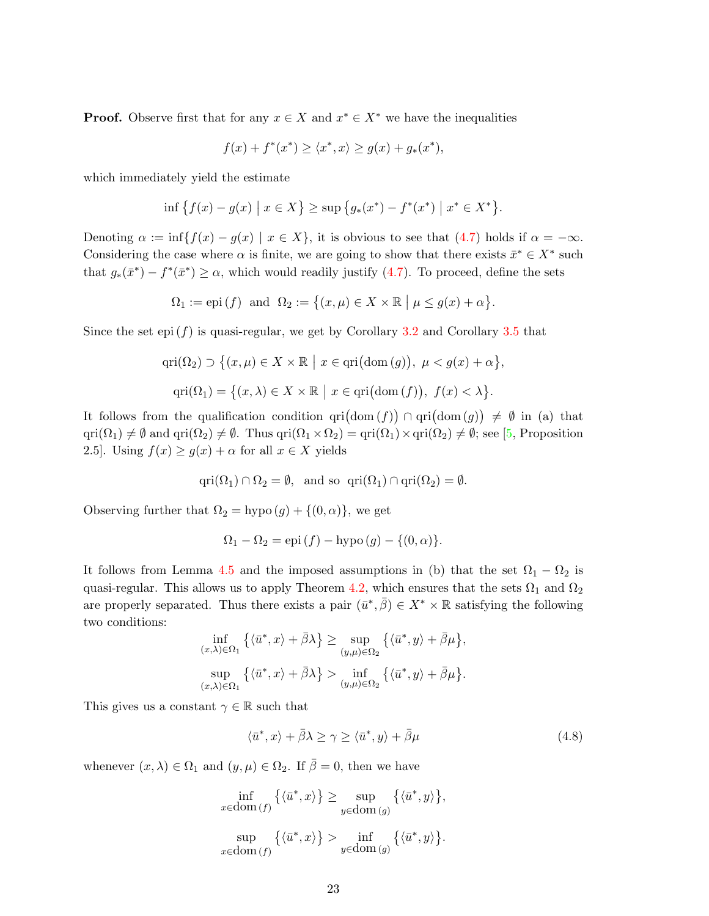**Proof.** Observe first that for any  $x \in X$  and  $x^* \in X^*$  we have the inequalities

$$
f(x) + f^*(x^*) \ge \langle x^*, x \rangle \ge g(x) + g_*(x^*),
$$

which immediately yield the estimate

$$
\inf \{ f(x) - g(x) \mid x \in X \} \ge \sup \{ g_*(x^*) - f^*(x^*) \mid x^* \in X^* \}.
$$

Denoting  $\alpha := \inf\{f(x) - g(x) \mid x \in X\}$ , it is obvious to see that [\(4.7\)](#page-22-0) holds if  $\alpha = -\infty$ . Considering the case where  $\alpha$  is finite, we are going to show that there exists  $\bar{x}^* \in X^*$  such that  $g_*(\bar{x}^*) - f^*(\bar{x}^*) \ge \alpha$ , which would readily justify [\(4.7\)](#page-22-0). To proceed, define the sets

$$
\Omega_1 := \mathrm{epi}\,(f) \text{ and } \Omega_2 := \big\{ (x,\mu) \in X \times \mathbb{R} \mid \mu \le g(x) + \alpha \big\}.
$$

Since the set epi  $(f)$  is quasi-regular, we get by Corollary [3.2](#page-14-6) and Corollary [3.5](#page-15-3) that

$$
\operatorname{qri}(\Omega_2) \supset \big\{ (x,\mu) \in X \times \mathbb{R} \mid x \in \operatorname{qri}(\operatorname{dom}(g)), \ \mu < g(x) + \alpha \big\},\
$$

$$
\operatorname{qri}(\Omega_1) = \big\{ (x,\lambda) \in X \times \mathbb{R} \mid x \in \operatorname{qri}(\operatorname{dom}(f)), \ f(x) < \lambda \big\}.
$$

It follows from the qualification condition  $\text{qri}(\text{dom}(f)) \cap \text{qri}(\text{dom}(g)) \neq \emptyset$  in (a) that  $\text{qri}(\Omega_1) \neq \emptyset$  and  $\text{qri}(\Omega_2) \neq \emptyset$ . Thus  $\text{qri}(\Omega_1 \times \Omega_2) = \text{qri}(\Omega_1) \times \text{qri}(\Omega_2) \neq \emptyset$ ; see [\[5,](#page-26-2) Proposition 2.5]. Using  $f(x) \ge g(x) + \alpha$  for all  $x \in X$  yields

$$
\text{qri}(\Omega_1) \cap \Omega_2 = \emptyset, \text{ and so } \text{qri}(\Omega_1) \cap \text{qri}(\Omega_2) = \emptyset.
$$

Observing further that  $\Omega_2 = \text{hypo}(g) + \{(0, \alpha)\}\)$ , we get

$$
\Omega_1 - \Omega_2 = \text{epi}(f) - \text{hypo}(g) - \{(0, \alpha)\}.
$$

It follows from Lemma [4.5](#page-22-1) and the imposed assumptions in (b) that the set  $\Omega_1 - \Omega_2$  is quasi-regular. This allows us to apply Theorem [4.2,](#page-20-2) which ensures that the sets  $\Omega_1$  and  $\Omega_2$ are properly separated. Thus there exists a pair  $(\bar{u}^*, \bar{\beta}) \in X^* \times \mathbb{R}$  satisfying the following two conditions:

$$
\inf_{(x,\lambda)\in\Omega_1} \left\{ \langle \bar{u}^*, x \rangle + \bar{\beta}\lambda \right\} \ge \sup_{(y,\mu)\in\Omega_2} \left\{ \langle \bar{u}^*, y \rangle + \bar{\beta}\mu \right\},
$$
  

$$
\sup_{(x,\lambda)\in\Omega_1} \left\{ \langle \bar{u}^*, x \rangle + \bar{\beta}\lambda \right\} > \inf_{(y,\mu)\in\Omega_2} \left\{ \langle \bar{u}^*, y \rangle + \bar{\beta}\mu \right\}.
$$

This gives us a constant  $\gamma \in \mathbb{R}$  such that

<span id="page-23-0"></span>
$$
\langle \bar{u}^*, x \rangle + \bar{\beta}\lambda \ge \gamma \ge \langle \bar{u}^*, y \rangle + \bar{\beta}\mu \tag{4.8}
$$

whenever  $(x, \lambda) \in \Omega_1$  and  $(y, \mu) \in \Omega_2$ . If  $\overline{\beta} = 0$ , then we have

$$
\inf_{x \in \text{dom}(f)} \left\{ \langle \bar{u}^*, x \rangle \right\} \ge \sup_{y \in \text{dom}(g)} \left\{ \langle \bar{u}^*, y \rangle \right\},
$$

$$
\sup_{x \in \text{dom}(f)} \left\{ \langle \bar{u}^*, x \rangle \right\} > \inf_{y \in \text{dom}(g)} \left\{ \langle \bar{u}^*, y \rangle \right\}.
$$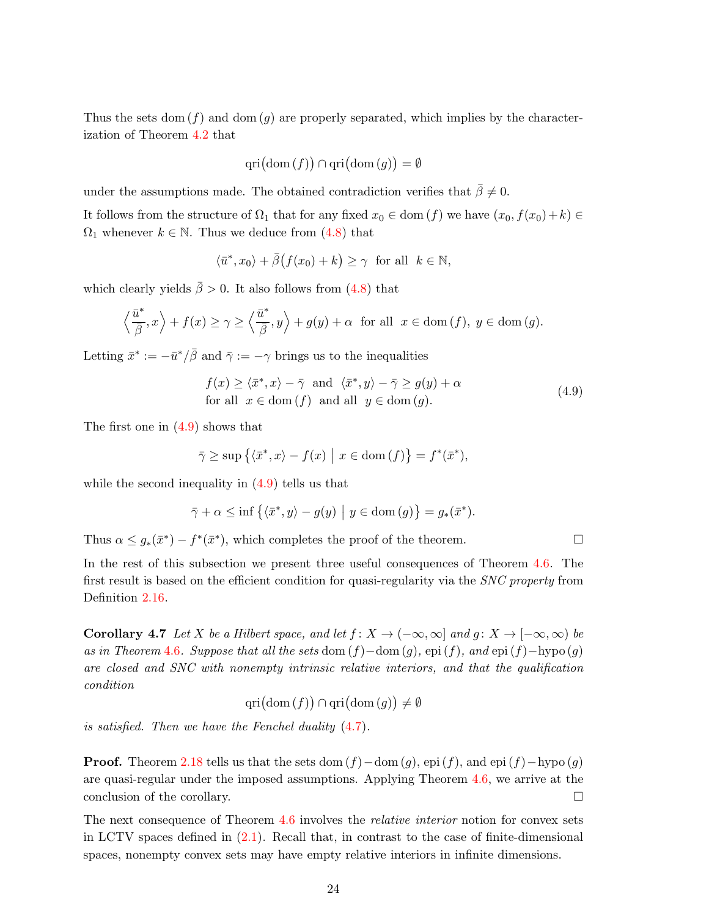Thus the sets dom  $(f)$  and dom  $(g)$  are properly separated, which implies by the characterization of Theorem [4.2](#page-20-2) that

$$
\operatorname{qri}(\operatorname{dom}(f)) \cap \operatorname{qri}(\operatorname{dom}(g)) = \emptyset
$$

under the assumptions made. The obtained contradiction verifies that  $\bar{\beta} \neq 0$ .

It follows from the structure of  $\Omega_1$  that for any fixed  $x_0 \in \text{dom}(f)$  we have  $(x_0, f(x_0)+k) \in$  $\Omega_1$  whenever  $k \in \mathbb{N}$ . Thus we deduce from [\(4.8\)](#page-23-0) that

$$
\langle \bar{u}^*, x_0 \rangle + \bar{\beta} (f(x_0) + k) \ge \gamma
$$
 for all  $k \in \mathbb{N}$ ,

which clearly yields  $\bar{\beta} > 0$ . It also follows from [\(4.8\)](#page-23-0) that

$$
\left\langle \frac{\bar{u}^*}{\bar{\beta}}, x \right\rangle + f(x) \ge \gamma \ge \left\langle \frac{\bar{u}^*}{\bar{\beta}}, y \right\rangle + g(y) + \alpha \text{ for all } x \in \text{dom}(f), y \in \text{dom}(g).
$$

Letting  $\bar{x}^* := -\bar{u}^*/\bar{\beta}$  and  $\bar{\gamma} := -\gamma$  brings us to the inequalities

<span id="page-24-0"></span>
$$
f(x) \ge \langle \bar{x}^*, x \rangle - \bar{\gamma} \text{ and } \langle \bar{x}^*, y \rangle - \bar{\gamma} \ge g(y) + \alpha
$$
  
for all  $x \in \text{dom}(f)$  and all  $y \in \text{dom}(g)$ . (4.9)

The first one in [\(4.9\)](#page-24-0) shows that

$$
\bar{\gamma} \ge \sup \{ \langle \bar{x}^*, x \rangle - f(x) \mid x \in \text{dom}(f) \} = f^*(\bar{x}^*),
$$

while the second inequality in  $(4.9)$  tells us that

$$
\bar{\gamma} + \alpha \le \inf \{ \langle \bar{x}^*, y \rangle - g(y) \mid y \in \text{dom}(g) \} = g_*(\bar{x}^*).
$$

Thus  $\alpha \leq g_*(\bar{x}^*) - f^*(\bar{x}^*)$ , which completes the proof of the theorem.

In the rest of this subsection we present three useful consequences of Theorem [4.6.](#page-22-2) The first result is based on the efficient condition for quasi-regularity via the SNC property from Definition [2.16.](#page-11-2)

Corollary 4.7 Let X be a Hilbert space, and let  $f: X \to (-\infty, \infty]$  and  $g: X \to [-\infty, \infty)$  be as in Theorem [4.6](#page-22-2). Suppose that all the sets dom  $(f)$  –dom  $(g)$ , epi  $(f)$ , and epi  $(f)$  –hypo  $(g)$ are closed and SNC with nonempty intrinsic relative interiors, and that the qualification condition

 $\text{qri}(\text{dom}(f)) \cap \text{qri}(\text{dom}(g)) \neq \emptyset$ 

is satisfied. Then we have the Fenchel duality [\(4.7\)](#page-22-0).

**Proof.** Theorem [2.18](#page-11-3) tells us that the sets dom  $(f)$  – dom  $(q)$ , epi  $(f)$ , and epi  $(f)$  – hypo  $(q)$ are quasi-regular under the imposed assumptions. Applying Theorem [4.6,](#page-22-2) we arrive at the conclusion of the corollary.

<span id="page-24-1"></span>The next consequence of Theorem [4.6](#page-22-2) involves the relative interior notion for convex sets in LCTV spaces defined in [\(2.1\)](#page-2-0). Recall that, in contrast to the case of finite-dimensional spaces, nonempty convex sets may have empty relative interiors in infinite dimensions.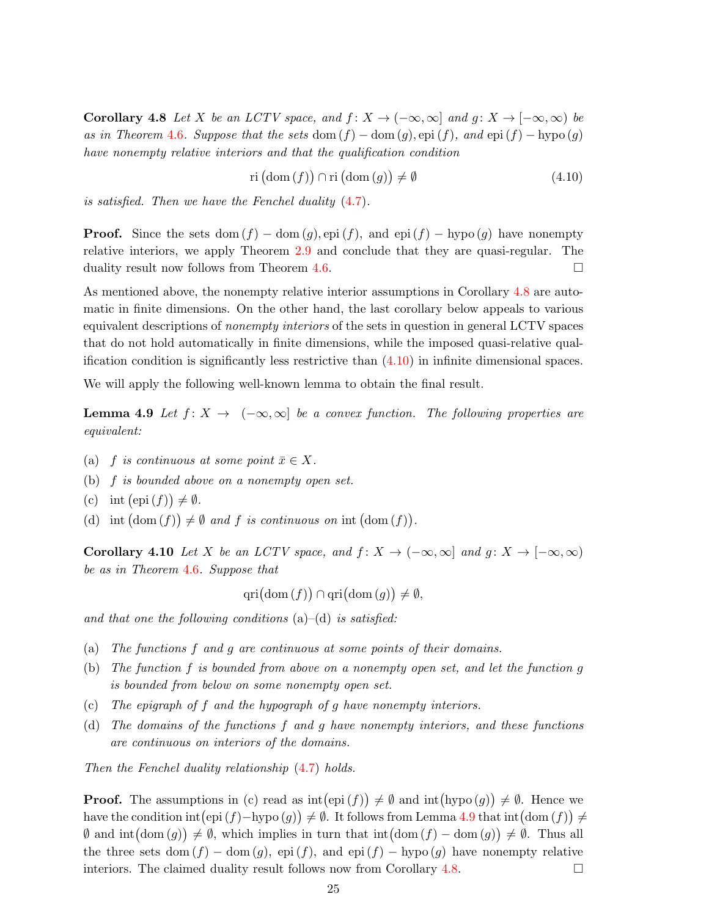**Corollary 4.8** Let X be an LCTV space, and  $f: X \to (-\infty, \infty]$  and  $g: X \to [-\infty, \infty)$  be as in Theorem [4.6](#page-22-2). Suppose that the sets dom  $(f)$  – dom  $(q)$ , epi  $(f)$ , and epi  $(f)$  – hypo  $(q)$ have nonempty relative interiors and that the qualification condition

<span id="page-25-1"></span><span id="page-25-0"></span>
$$
\operatorname{ri}(\operatorname{dom}(f)) \cap \operatorname{ri}(\operatorname{dom}(g)) \neq \emptyset \tag{4.10}
$$

is satisfied. Then we have the Fenchel duality [\(4.7\)](#page-22-0).

**Proof.** Since the sets dom  $(f)$  – dom  $(g)$ , epi  $(f)$ , and epi  $(f)$  – hypo  $(g)$  have nonempty relative interiors, we apply Theorem [2.9](#page-6-5) and conclude that they are quasi-regular. The duality result now follows from Theorem [4.6.](#page-22-2)

As mentioned above, the nonempty relative interior assumptions in Corollary [4.8](#page-24-1) are automatic in finite dimensions. On the other hand, the last corollary below appeals to various equivalent descriptions of nonempty interiors of the sets in question in general LCTV spaces that do not hold automatically in finite dimensions, while the imposed quasi-relative qualification condition is significantly less restrictive than  $(4.10)$  in infinite dimensional spaces.

We will apply the following well-known lemma to obtain the final result.

**Lemma 4.9** Let  $f: X \to (-\infty, \infty]$  be a convex function. The following properties are equivalent:

- (a) f is continuous at some point  $\bar{x} \in X$ .
- (b) f is bounded above on a nonempty open set.
- (c) int  $(\text{epi}(f)) \neq \emptyset$ .
- (d) int  $(\text{dom}(f)) \neq \emptyset$  and f is continuous on int  $(\text{dom}(f))$ .

Corollary 4.10 Let X be an LCTV space, and  $f: X \to (-\infty, \infty]$  and  $g: X \to [-\infty, \infty)$ be as in Theorem [4.6](#page-22-2). Suppose that

$$
\operatorname{qri}(\operatorname{dom}(f)) \cap \operatorname{qri}(\operatorname{dom}(g)) \neq \emptyset,
$$

and that one the following conditions  $(a)$ – $(d)$  is satisfied:

- (a) The functions f and g are continuous at some points of their domains.
- (b) The function f is bounded from above on a nonempty open set, and let the function g is bounded from below on some nonempty open set.
- (c) The epigraph of f and the hypograph of g have nonempty interiors.
- (d) The domains of the functions f and g have nonempty interiors, and these functions are continuous on interiors of the domains.

Then the Fenchel duality relationship [\(4.7\)](#page-22-0) holds.

**Proof.** The assumptions in (c) read as  $\text{int}(\text{epi}(f)) \neq \emptyset$  and  $\text{int}(\text{hypo}(g)) \neq \emptyset$ . Hence we have the condition  $\text{int}(\text{epi}(f) - \text{hypo}(g)) \neq \emptyset$ . It follows from Lemma [4.9](#page-25-1) that  $\text{int}(\text{dom}(f)) \neq$  $\emptyset$  and  $\text{int}(\text{dom}(g)) \neq \emptyset$ , which implies in turn that  $\text{int}(\text{dom}(f) - \text{dom}(g)) \neq \emptyset$ . Thus all the three sets dom  $(f)$  – dom  $(g)$ , epi  $(f)$ , and epi  $(f)$  – hypo  $(g)$  have nonempty relative interiors. The claimed duality result follows now from Corollary [4.8.](#page-24-1)  $\Box$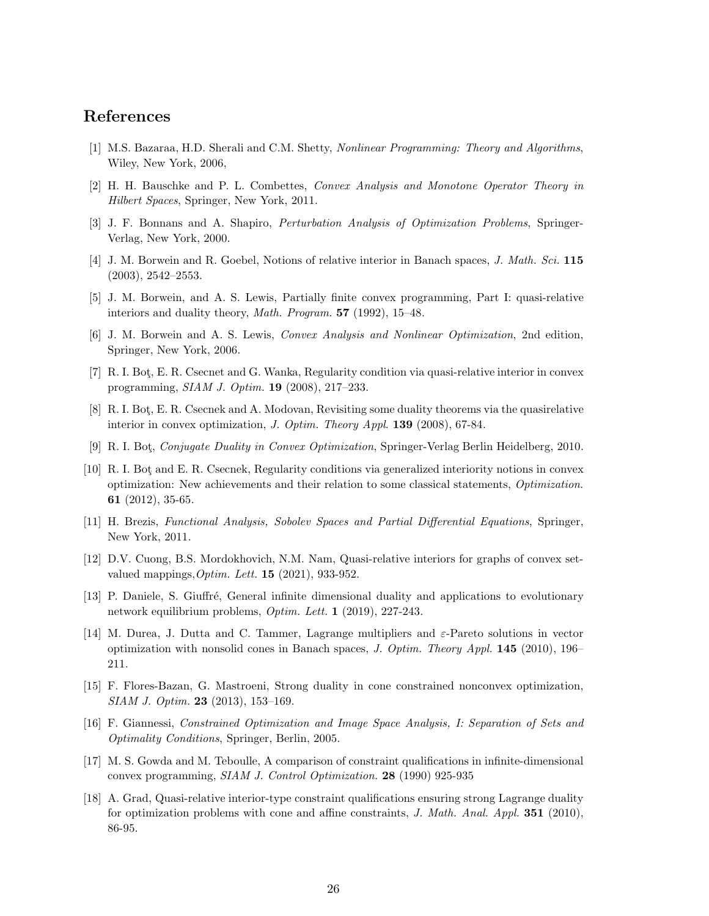#### <span id="page-26-0"></span>References

- <span id="page-26-1"></span>[1] M.S. Bazaraa, H.D. Sherali and C.M. Shetty, Nonlinear Programming: Theory and Algorithms, Wiley, New York, 2006,
- <span id="page-26-15"></span>[2] H. H. Bauschke and P. L. Combettes, Convex Analysis and Monotone Operator Theory in Hilbert Spaces, Springer, New York, 2011.
- <span id="page-26-13"></span>[3] J. F. Bonnans and A. Shapiro, Perturbation Analysis of Optimization Problems, Springer-Verlag, New York, 2000.
- <span id="page-26-2"></span>[4] J. M. Borwein and R. Goebel, Notions of relative interior in Banach spaces, J. Math. Sci. 115 (2003), 2542–2553.
- <span id="page-26-3"></span>[5] J. M. Borwein, and A. S. Lewis, Partially finite convex programming, Part I: quasi-relative interiors and duality theory, Math. Program. 57 (1992), 15–48.
- <span id="page-26-4"></span>[6] J. M. Borwein and A. S. Lewis, Convex Analysis and Nonlinear Optimization, 2nd edition, Springer, New York, 2006.
- <span id="page-26-5"></span>[7] R. I. Bot¸, E. R. Csecnet and G. Wanka, Regularity condition via quasi-relative interior in convex programming, SIAM J. Optim. 19 (2008), 217–233.
- <span id="page-26-6"></span>[8] R. I. Bot, E. R. Csecnek and A. Modovan, Revisiting some duality theorems via the quasirelative interior in convex optimization, J. Optim. Theory Appl. 139 (2008), 67-84.
- <span id="page-26-7"></span>[9] R. I. Bot¸, Conjugate Duality in Convex Optimization, Springer-Verlag Berlin Heidelberg, 2010.
- [10] R. I. Bot¸ and E. R. Csecnek, Regularity conditions via generalized interiority notions in convex optimization: New achievements and their relation to some classical statements, Optimization. 61 (2012), 35-65.
- <span id="page-26-12"></span><span id="page-26-8"></span>[11] H. Brezis, Functional Analysis, Sobolev Spaces and Partial Differential Equations, Springer, New York, 2011.
- [12] D.V. Cuong, B.S. Mordokhovich, N.M. Nam, Quasi-relative interiors for graphs of convex setvalued mappings,  $Optim$ . Lett. **15** (2021), 933-952.
- <span id="page-26-10"></span><span id="page-26-9"></span>[13] P. Daniele, S. Giuffré, General infinite dimensional duality and applications to evolutionary network equilibrium problems, Optim. Lett. 1 (2019), 227-243.
- [14] M. Durea, J. Dutta and C. Tammer, Lagrange multipliers and ε-Pareto solutions in vector optimization with nonsolid cones in Banach spaces, J. Optim. Theory Appl.  $145$  (2010), 196– 211.
- <span id="page-26-14"></span>[15] F. Flores-Bazan, G. Mastroeni, Strong duality in cone constrained nonconvex optimization, SIAM J. Optim. 23 (2013), 153–169.
- [16] F. Giannessi, Constrained Optimization and Image Space Analysis, I: Separation of Sets and Optimality Conditions, Springer, Berlin, 2005.
- [17] M. S. Gowda and M. Teboulle, A comparison of constraint qualifications in infinite-dimensional convex programming, SIAM J. Control Optimization. 28 (1990) 925-935
- <span id="page-26-11"></span>[18] A. Grad, Quasi-relative interior-type constraint qualifications ensuring strong Lagrange duality for optimization problems with cone and affine constraints,  $J.$  Math. Anal. Appl. 351 (2010), 86-95.